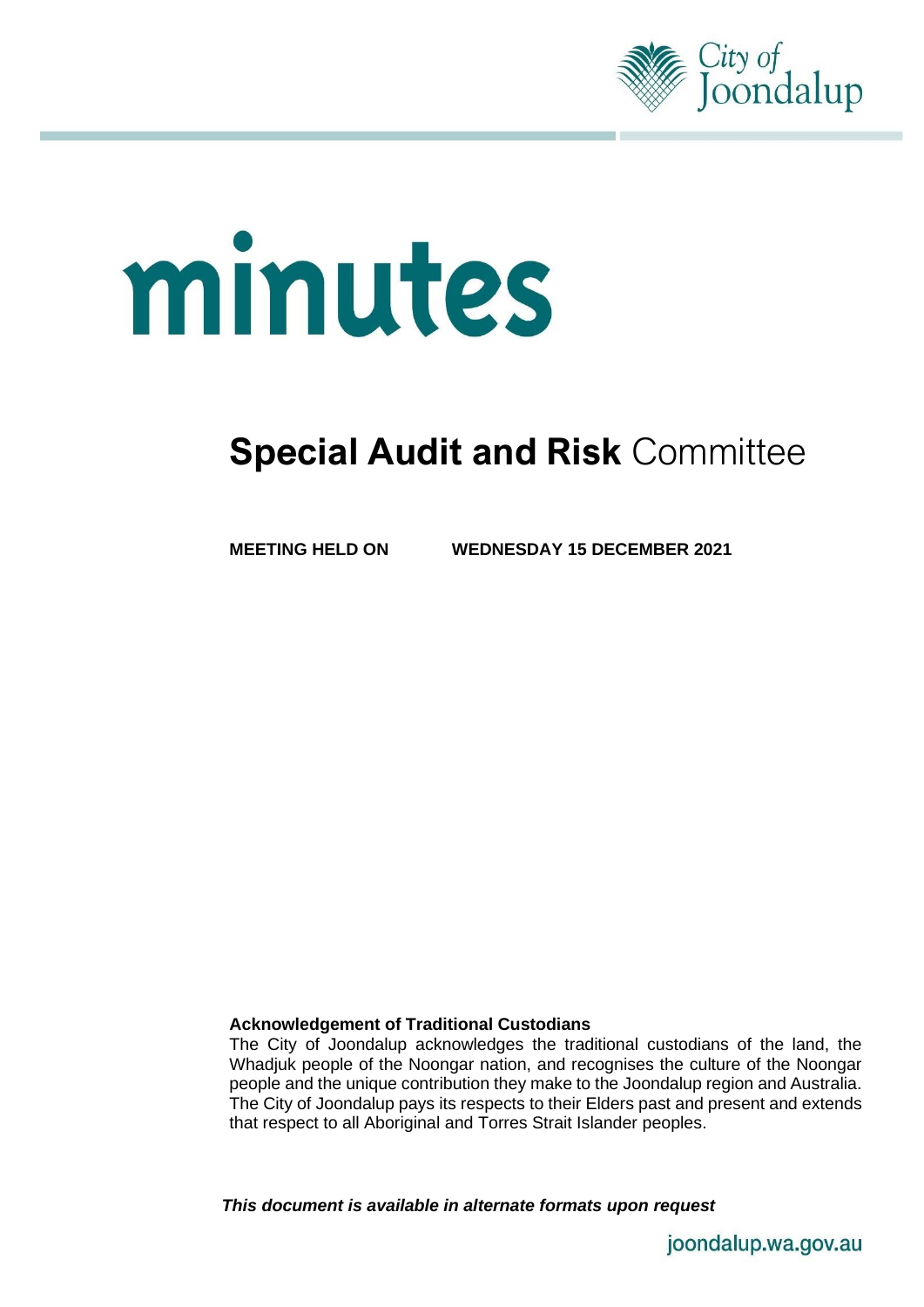

# minutes

# **Special Audit and Risk** Committee

**MEETING HELD ON WEDNESDAY 15 DECEMBER 2021**

# **Acknowledgement of Traditional Custodians**

The City of Joondalup acknowledges the traditional custodians of the land, the Whadjuk people of the Noongar nation, and recognises the culture of the Noongar people and the unique contribution they make to the Joondalup region and Australia. The City of Joondalup pays its respects to their Elders past and present and extends that respect to all Aboriginal and Torres Strait Islander peoples.

*This document is available in alternate formats upon request*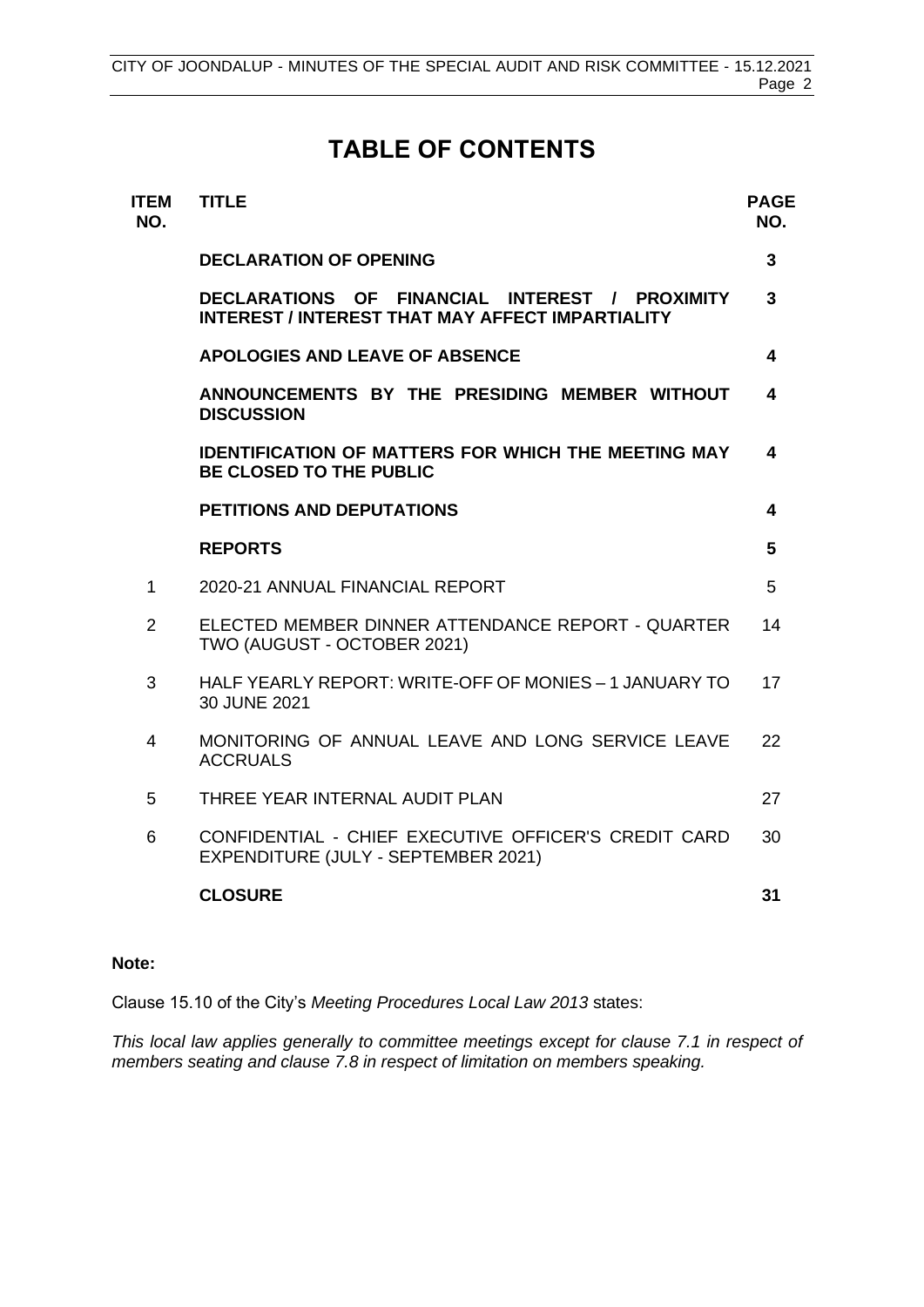# **TABLE OF CONTENTS**

| <b>ITEM</b><br>NO. | <b>TITLE</b>                                                                                              | <b>PAGE</b><br>NO. |
|--------------------|-----------------------------------------------------------------------------------------------------------|--------------------|
|                    | <b>DECLARATION OF OPENING</b>                                                                             | 3                  |
|                    | DECLARATIONS OF FINANCIAL INTEREST / PROXIMITY<br><b>INTEREST / INTEREST THAT MAY AFFECT IMPARTIALITY</b> | 3                  |
|                    | <b>APOLOGIES AND LEAVE OF ABSENCE</b>                                                                     | 4                  |
|                    | ANNOUNCEMENTS BY THE PRESIDING MEMBER WITHOUT<br><b>DISCUSSION</b>                                        | 4                  |
|                    | <b>IDENTIFICATION OF MATTERS FOR WHICH THE MEETING MAY</b><br><b>BE CLOSED TO THE PUBLIC</b>              | 4                  |
|                    | <b>PETITIONS AND DEPUTATIONS</b>                                                                          | 4                  |
|                    | <b>REPORTS</b>                                                                                            | 5                  |
| 1                  | 2020-21 ANNUAL FINANCIAL REPORT                                                                           | 5                  |
| $\overline{2}$     | ELECTED MEMBER DINNER ATTENDANCE REPORT - QUARTER<br>TWO (AUGUST - OCTOBER 2021)                          | 14                 |
| 3                  | HALF YEARLY REPORT: WRITE-OFF OF MONIES - 1 JANUARY TO<br>30 JUNE 2021                                    | 17                 |
| $\overline{4}$     | MONITORING OF ANNUAL LEAVE AND LONG SERVICE LEAVE<br><b>ACCRUALS</b>                                      | 22                 |
| 5                  | THREE YEAR INTERNAL AUDIT PLAN                                                                            | 27                 |
| 6                  | CONFIDENTIAL - CHIEF EXECUTIVE OFFICER'S CREDIT CARD<br>EXPENDITURE (JULY - SEPTEMBER 2021)               | 30                 |
|                    | <b>CLOSURE</b>                                                                                            | 31                 |
|                    |                                                                                                           |                    |

# **Note:**

Clause 15.10 of the City's *Meeting Procedures Local Law 2013* states:

*This local law applies generally to committee meetings except for clause 7.1 in respect of members seating and clause 7.8 in respect of limitation on members speaking.*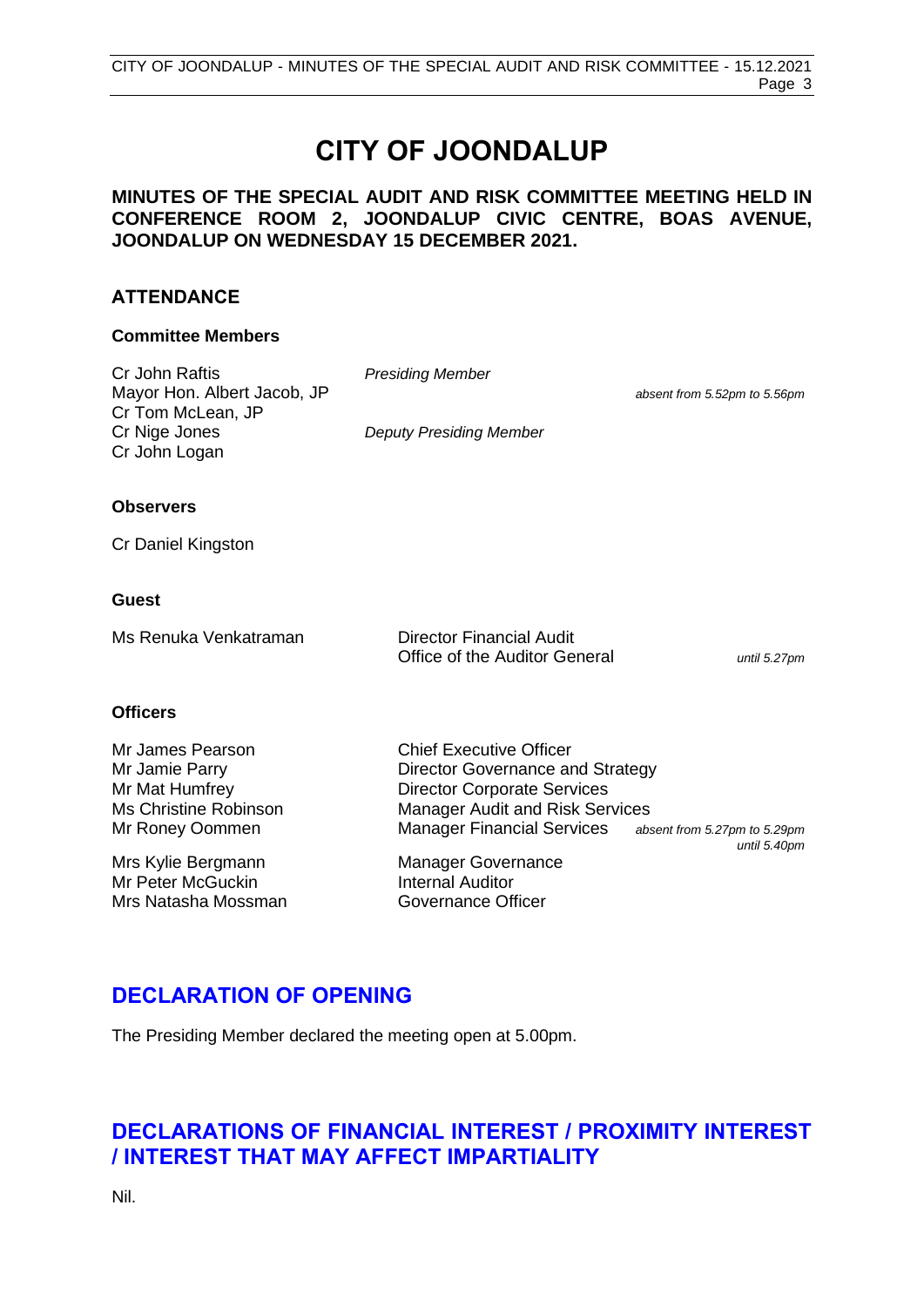# **CITY OF JOONDALUP**

# **MINUTES OF THE SPECIAL AUDIT AND RISK COMMITTEE MEETING HELD IN CONFERENCE ROOM 2, JOONDALUP CIVIC CENTRE, BOAS AVENUE, JOONDALUP ON WEDNESDAY 15 DECEMBER 2021.**

# **ATTENDANCE**

# **Committee Members**

Cr John Raftis *Presiding Member* Mayor Hon. Albert Jacob, JP *absent from 5.52pm to 5.56pm* Cr Tom McLean, JP Cr Nige Jones *Deputy Presiding Member* Cr John Logan

# **Observers**

Cr Daniel Kingston

# **Guest**

| Ms Renuka Venkatraman | <b>Director Financial Audit</b> |              |
|-----------------------|---------------------------------|--------------|
|                       | Office of the Auditor General   | until 5.27pm |

# **Officers**

| Mr James Pearson      | <b>Chief Executive Officer</b>         |                                              |
|-----------------------|----------------------------------------|----------------------------------------------|
| Mr Jamie Parry        | Director Governance and Strategy       |                                              |
| Mr Mat Humfrey        | <b>Director Corporate Services</b>     |                                              |
| Ms Christine Robinson | <b>Manager Audit and Risk Services</b> |                                              |
| Mr Roney Oommen       | <b>Manager Financial Services</b>      | absent from 5.27pm to 5.29pm<br>until 5.40pm |
| Mrs Kylie Bergmann    | <b>Manager Governance</b>              |                                              |
| Mr Peter McGuckin     | <b>Internal Auditor</b>                |                                              |
| Mrs Natasha Mossman   | Governance Officer                     |                                              |

# <span id="page-2-0"></span>**DECLARATION OF OPENING**

The Presiding Member declared the meeting open at 5.00pm.

# <span id="page-2-1"></span>**DECLARATIONS OF FINANCIAL INTEREST / PROXIMITY INTEREST / INTEREST THAT MAY AFFECT IMPARTIALITY**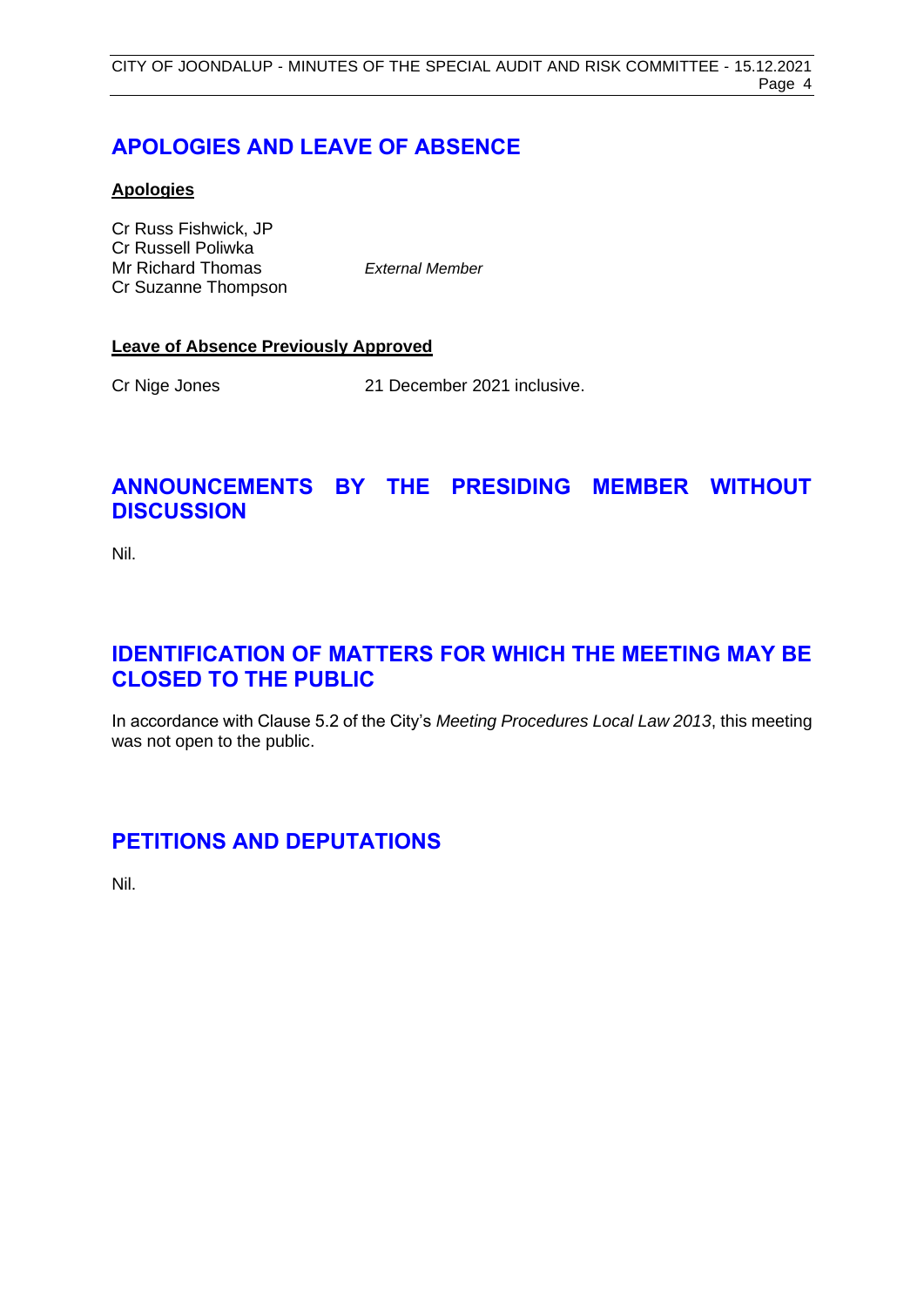# <span id="page-3-0"></span>**APOLOGIES AND LEAVE OF ABSENCE**

# **Apologies**

Cr Russ Fishwick, JP Cr Russell Poliwka Mr Richard Thomas *External Member* Cr Suzanne Thompson

# **Leave of Absence Previously Approved**

Cr Nige Jones 21 December 2021 inclusive.

# <span id="page-3-1"></span>**ANNOUNCEMENTS BY THE PRESIDING MEMBER WITHOUT DISCUSSION**

Nil.

# <span id="page-3-2"></span>**IDENTIFICATION OF MATTERS FOR WHICH THE MEETING MAY BE CLOSED TO THE PUBLIC**

In accordance with Clause 5.2 of the City's *Meeting Procedures Local Law 2013*, this meeting was not open to the public.

# <span id="page-3-3"></span>**PETITIONS AND DEPUTATIONS**

Nil.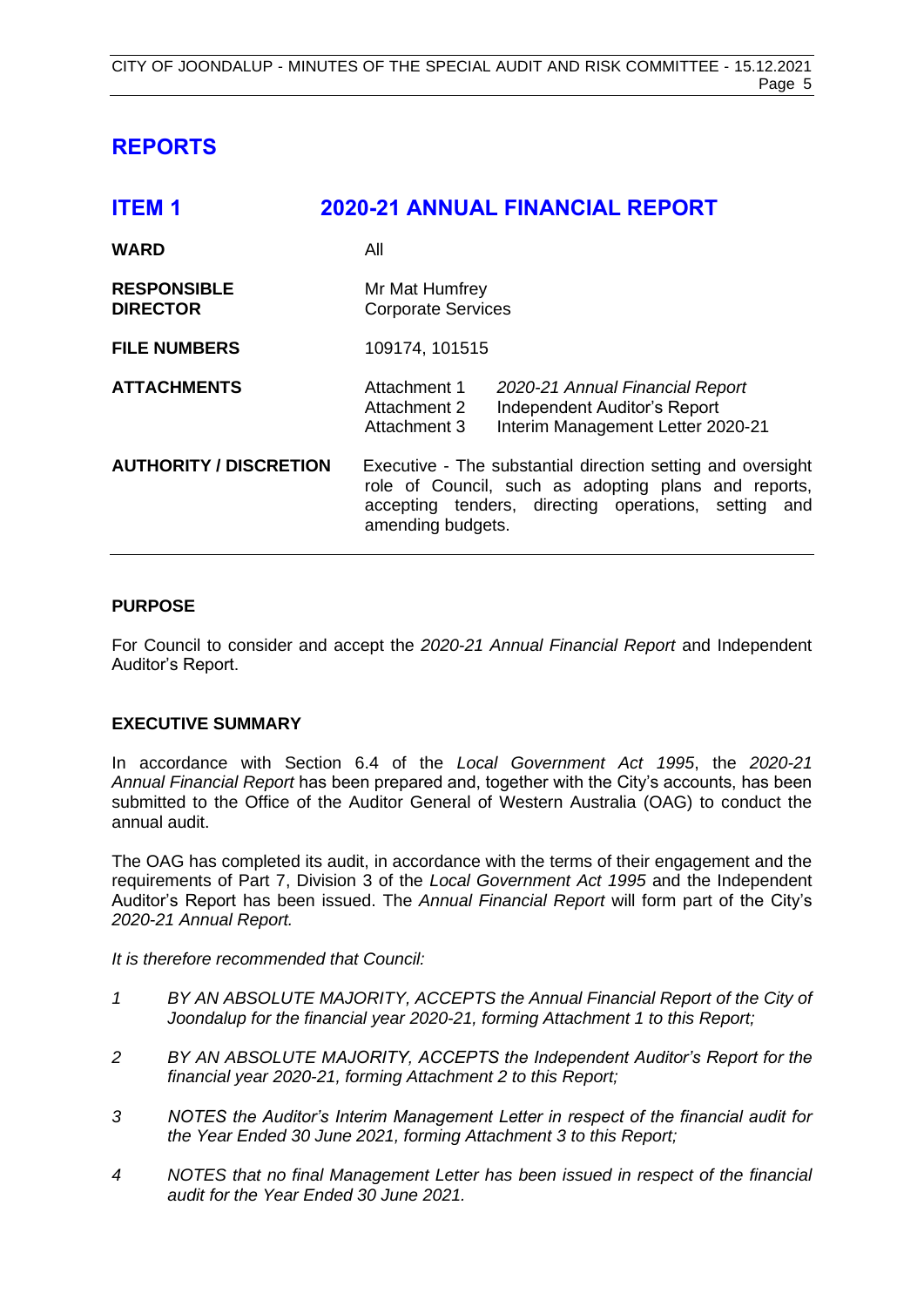# <span id="page-4-0"></span>**REPORTS**

<span id="page-4-1"></span>

| <b>ITEM1</b>                          | <b>2020-21 ANNUAL FINANCIAL REPORT</b>                                                                                                                                                           |
|---------------------------------------|--------------------------------------------------------------------------------------------------------------------------------------------------------------------------------------------------|
| <b>WARD</b>                           | All                                                                                                                                                                                              |
| <b>RESPONSIBLE</b><br><b>DIRECTOR</b> | Mr Mat Humfrey<br><b>Corporate Services</b>                                                                                                                                                      |
| <b>FILE NUMBERS</b>                   | 109174, 101515                                                                                                                                                                                   |
| <b>ATTACHMENTS</b>                    | Attachment 1<br>2020-21 Annual Financial Report<br>Independent Auditor's Report<br>Attachment 2<br>Interim Management Letter 2020-21<br>Attachment 3                                             |
| <b>AUTHORITY / DISCRETION</b>         | Executive - The substantial direction setting and oversight<br>role of Council, such as adopting plans and reports,<br>accepting tenders, directing operations, setting and<br>amending budgets. |

# **PURPOSE**

For Council to consider and accept the *2020-21 Annual Financial Report* and Independent Auditor's Report.

# **EXECUTIVE SUMMARY**

In accordance with Section 6.4 of the *Local Government Act 1995*, the *2020-21 Annual Financial Report* has been prepared and, together with the City's accounts, has been submitted to the Office of the Auditor General of Western Australia (OAG) to conduct the annual audit.

The OAG has completed its audit, in accordance with the terms of their engagement and the requirements of Part 7, Division 3 of the *Local Government Act 1995* and the Independent Auditor's Report has been issued. The *Annual Financial Report* will form part of the City's *2020-21 Annual Report.* 

*It is therefore recommended that Council:*

- *1 BY AN ABSOLUTE MAJORITY, ACCEPTS the Annual Financial Report of the City of Joondalup for the financial year 2020-21, forming Attachment 1 to this Report;*
- *2 BY AN ABSOLUTE MAJORITY, ACCEPTS the Independent Auditor's Report for the financial year 2020-21, forming Attachment 2 to this Report;*
- *3 NOTES the Auditor's Interim Management Letter in respect of the financial audit for the Year Ended 30 June 2021, forming Attachment 3 to this Report;*
- *4 NOTES that no final Management Letter has been issued in respect of the financial audit for the Year Ended 30 June 2021.*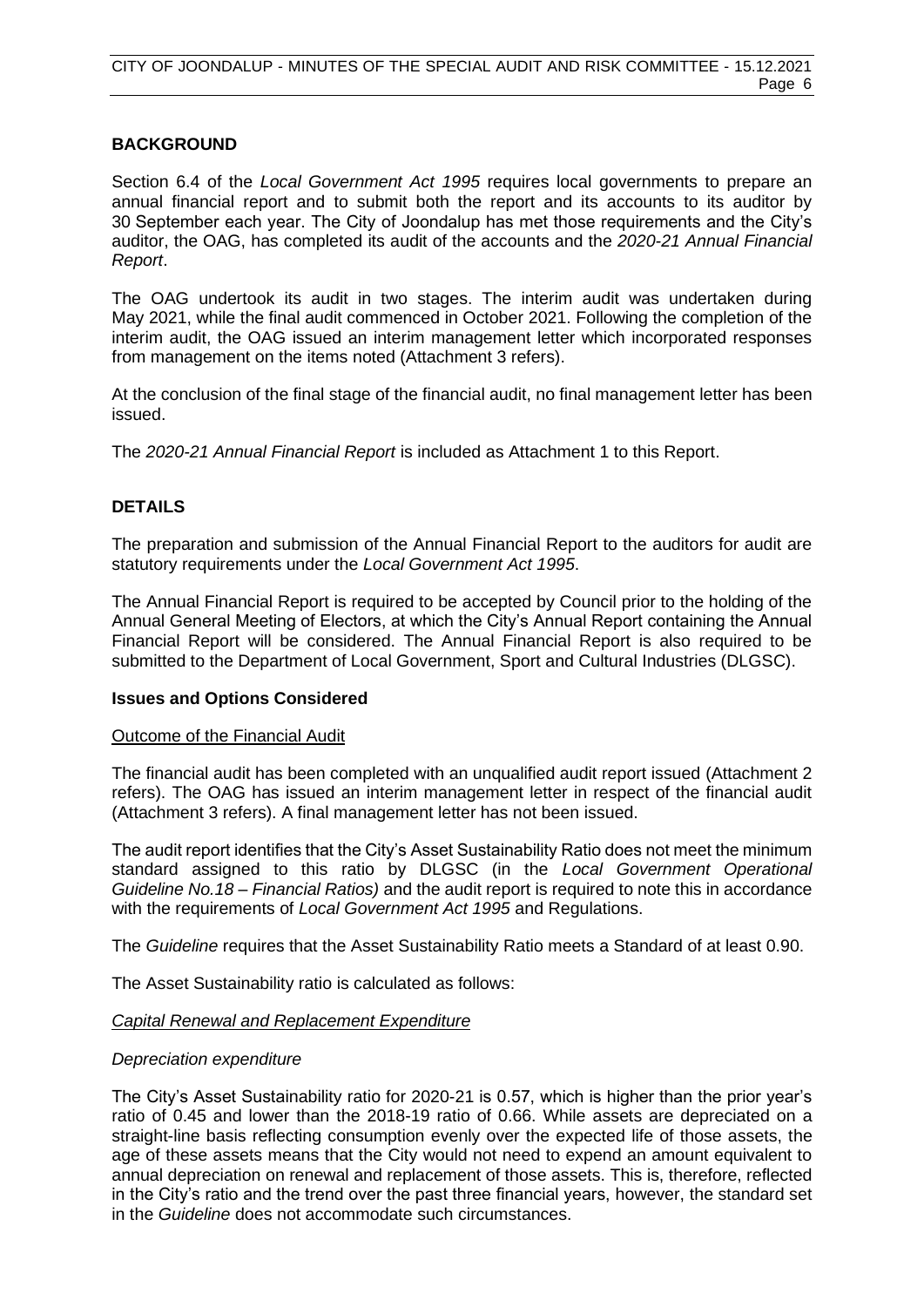# **BACKGROUND**

Section 6.4 of the *Local Government Act 1995* requires local governments to prepare an annual financial report and to submit both the report and its accounts to its auditor by 30 September each year. The City of Joondalup has met those requirements and the City's auditor, the OAG, has completed its audit of the accounts and the *2020-21 Annual Financial Report*.

The OAG undertook its audit in two stages. The interim audit was undertaken during May 2021, while the final audit commenced in October 2021. Following the completion of the interim audit, the OAG issued an interim management letter which incorporated responses from management on the items noted (Attachment 3 refers).

At the conclusion of the final stage of the financial audit, no final management letter has been issued.

The *2020-21 Annual Financial Report* is included as Attachment 1 to this Report.

# **DETAILS**

The preparation and submission of the Annual Financial Report to the auditors for audit are statutory requirements under the *Local Government Act 1995*.

The Annual Financial Report is required to be accepted by Council prior to the holding of the Annual General Meeting of Electors, at which the City's Annual Report containing the Annual Financial Report will be considered. The Annual Financial Report is also required to be submitted to the Department of Local Government, Sport and Cultural Industries (DLGSC).

# **Issues and Options Considered**

# Outcome of the Financial Audit

The financial audit has been completed with an unqualified audit report issued (Attachment 2 refers). The OAG has issued an interim management letter in respect of the financial audit (Attachment 3 refers). A final management letter has not been issued.

The audit report identifies that the City's Asset Sustainability Ratio does not meet the minimum standard assigned to this ratio by DLGSC (in the *Local Government Operational Guideline No.18 – Financial Ratios)* and the audit report is required to note this in accordance with the requirements of *Local Government Act 1995* and Regulations.

The *Guideline* requires that the Asset Sustainability Ratio meets a Standard of at least 0.90.

The Asset Sustainability ratio is calculated as follows:

# *Capital Renewal and Replacement Expenditure*

# *Depreciation expenditure*

The City's Asset Sustainability ratio for 2020-21 is 0.57, which is higher than the prior year's ratio of 0.45 and lower than the 2018-19 ratio of 0.66. While assets are depreciated on a straight-line basis reflecting consumption evenly over the expected life of those assets, the age of these assets means that the City would not need to expend an amount equivalent to annual depreciation on renewal and replacement of those assets. This is, therefore, reflected in the City's ratio and the trend over the past three financial years, however, the standard set in the *Guideline* does not accommodate such circumstances.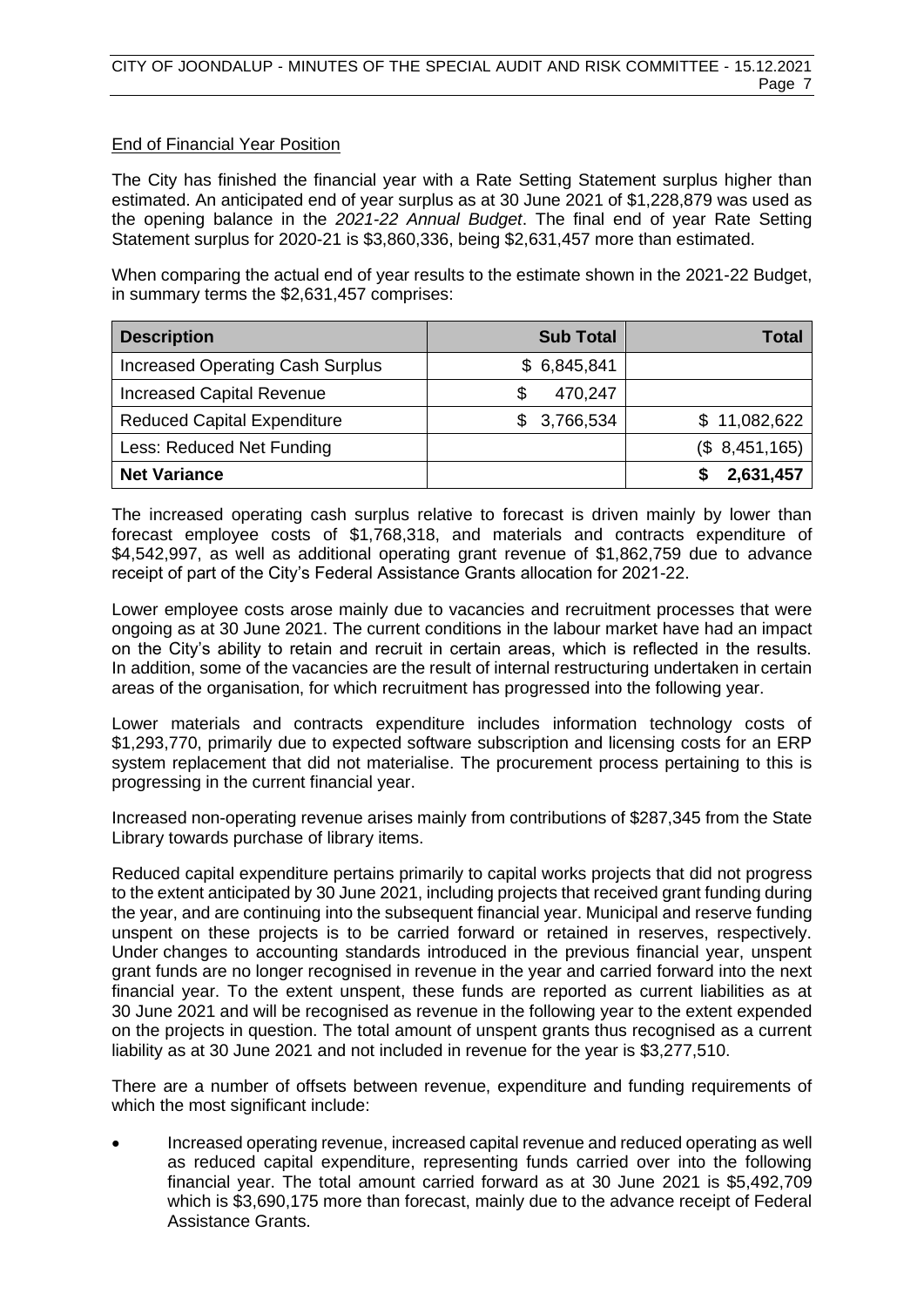# End of Financial Year Position

The City has finished the financial year with a Rate Setting Statement surplus higher than estimated. An anticipated end of year surplus as at 30 June 2021 of \$1,228,879 was used as the opening balance in the *2021-22 Annual Budget*. The final end of year Rate Setting Statement surplus for 2020-21 is \$3,860,336, being \$2,631,457 more than estimated.

When comparing the actual end of year results to the estimate shown in the 2021-22 Budget, in summary terms the \$2,631,457 comprises:

| <b>Description</b>                      | <b>Sub Total</b> | Total           |
|-----------------------------------------|------------------|-----------------|
| <b>Increased Operating Cash Surplus</b> | \$6,845,841      |                 |
| <b>Increased Capital Revenue</b>        | 470,247          |                 |
| <b>Reduced Capital Expenditure</b>      | \$3,766,534      | \$11,082,622    |
| Less: Reduced Net Funding               |                  | (\$, 8,451,165) |
| <b>Net Variance</b>                     |                  | 2,631,457       |

The increased operating cash surplus relative to forecast is driven mainly by lower than forecast employee costs of \$1,768,318, and materials and contracts expenditure of \$4,542,997, as well as additional operating grant revenue of \$1,862,759 due to advance receipt of part of the City's Federal Assistance Grants allocation for 2021-22.

Lower employee costs arose mainly due to vacancies and recruitment processes that were ongoing as at 30 June 2021. The current conditions in the labour market have had an impact on the City's ability to retain and recruit in certain areas, which is reflected in the results. In addition, some of the vacancies are the result of internal restructuring undertaken in certain areas of the organisation, for which recruitment has progressed into the following year.

Lower materials and contracts expenditure includes information technology costs of \$1,293,770, primarily due to expected software subscription and licensing costs for an ERP system replacement that did not materialise. The procurement process pertaining to this is progressing in the current financial year.

Increased non-operating revenue arises mainly from contributions of \$287,345 from the State Library towards purchase of library items.

Reduced capital expenditure pertains primarily to capital works projects that did not progress to the extent anticipated by 30 June 2021, including projects that received grant funding during the year, and are continuing into the subsequent financial year. Municipal and reserve funding unspent on these projects is to be carried forward or retained in reserves, respectively. Under changes to accounting standards introduced in the previous financial year, unspent grant funds are no longer recognised in revenue in the year and carried forward into the next financial year. To the extent unspent, these funds are reported as current liabilities as at 30 June 2021 and will be recognised as revenue in the following year to the extent expended on the projects in question. The total amount of unspent grants thus recognised as a current liability as at 30 June 2021 and not included in revenue for the year is \$3,277,510.

There are a number of offsets between revenue, expenditure and funding requirements of which the most significant include:

• Increased operating revenue, increased capital revenue and reduced operating as well as reduced capital expenditure, representing funds carried over into the following financial year. The total amount carried forward as at 30 June 2021 is \$5,492,709 which is \$3,690,175 more than forecast, mainly due to the advance receipt of Federal Assistance Grants.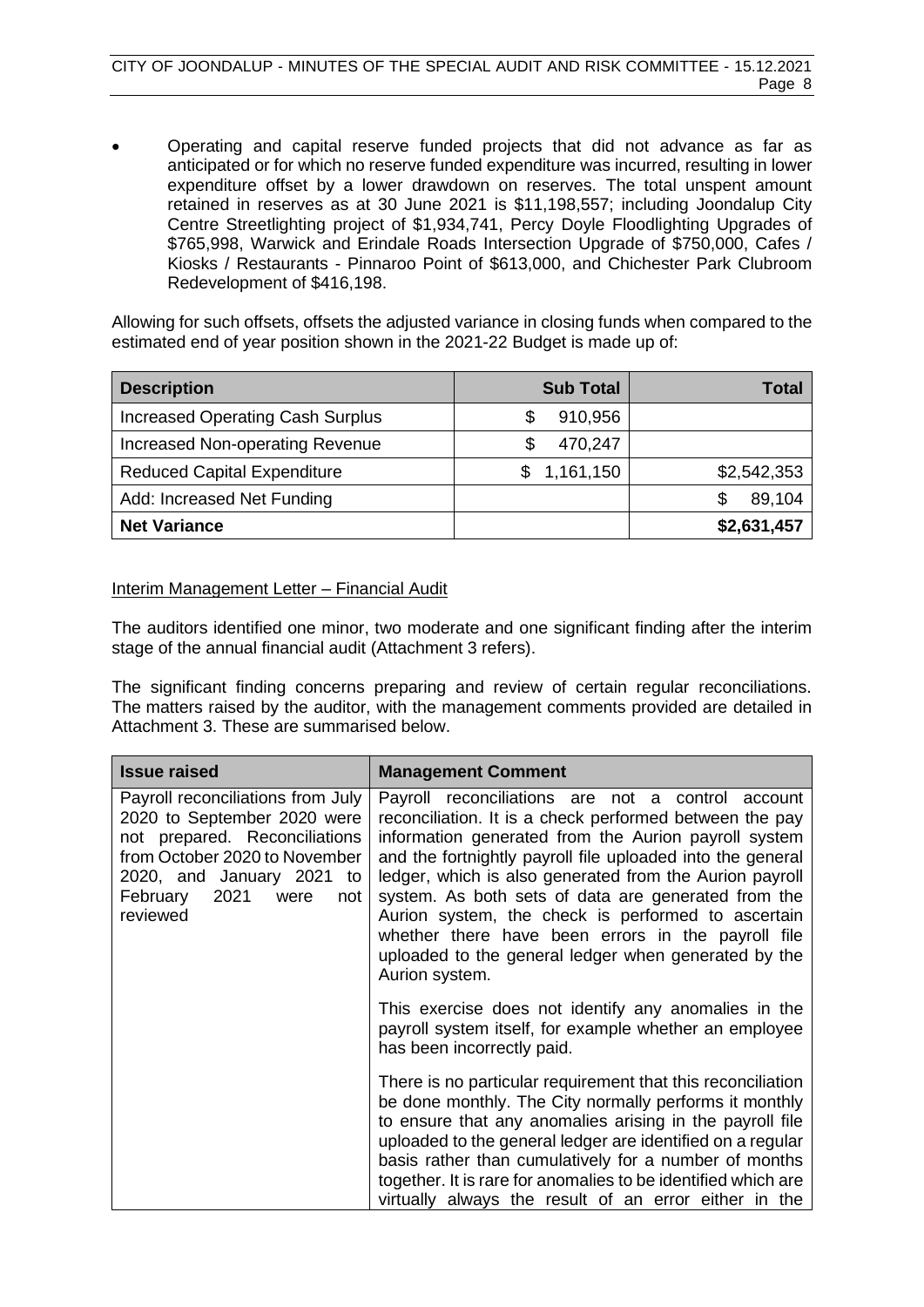• Operating and capital reserve funded projects that did not advance as far as anticipated or for which no reserve funded expenditure was incurred, resulting in lower expenditure offset by a lower drawdown on reserves. The total unspent amount retained in reserves as at 30 June 2021 is \$11,198,557; including Joondalup City Centre Streetlighting project of \$1,934,741, Percy Doyle Floodlighting Upgrades of \$765,998, Warwick and Erindale Roads Intersection Upgrade of \$750,000, Cafes / Kiosks / Restaurants - Pinnaroo Point of \$613,000, and Chichester Park Clubroom Redevelopment of \$416,198.

Allowing for such offsets, offsets the adjusted variance in closing funds when compared to the estimated end of year position shown in the 2021-22 Budget is made up of:

| <b>Description</b>                      | <b>Sub Total</b> | Total       |
|-----------------------------------------|------------------|-------------|
| <b>Increased Operating Cash Surplus</b> | 910,956          |             |
| Increased Non-operating Revenue         | 470,247          |             |
| <b>Reduced Capital Expenditure</b>      | 1,161,150        | \$2,542,353 |
| Add: Increased Net Funding              |                  | 89,104      |
| <b>Net Variance</b>                     |                  | \$2,631,457 |

# Interim Management Letter – Financial Audit

The auditors identified one minor, two moderate and one significant finding after the interim stage of the annual financial audit (Attachment 3 refers).

The significant finding concerns preparing and review of certain regular reconciliations. The matters raised by the auditor, with the management comments provided are detailed in Attachment 3. These are summarised below.

| <b>Issue raised</b>                                                                                                                                                                                            | <b>Management Comment</b>                                                                                                                                                                                                                                                                                                                                                                                                                                                                                                                  |
|----------------------------------------------------------------------------------------------------------------------------------------------------------------------------------------------------------------|--------------------------------------------------------------------------------------------------------------------------------------------------------------------------------------------------------------------------------------------------------------------------------------------------------------------------------------------------------------------------------------------------------------------------------------------------------------------------------------------------------------------------------------------|
| Payroll reconciliations from July<br>2020 to September 2020 were<br>not prepared. Reconciliations<br>from October 2020 to November<br>2020, and January 2021 to<br>2021<br>February<br>were<br>not<br>reviewed | Payroll reconciliations are not a control account<br>reconciliation. It is a check performed between the pay<br>information generated from the Aurion payroll system<br>and the fortnightly payroll file uploaded into the general<br>ledger, which is also generated from the Aurion payroll<br>system. As both sets of data are generated from the<br>Aurion system, the check is performed to ascertain<br>whether there have been errors in the payroll file<br>uploaded to the general ledger when generated by the<br>Aurion system. |
|                                                                                                                                                                                                                | This exercise does not identify any anomalies in the<br>payroll system itself, for example whether an employee<br>has been incorrectly paid.                                                                                                                                                                                                                                                                                                                                                                                               |
|                                                                                                                                                                                                                | There is no particular requirement that this reconciliation<br>be done monthly. The City normally performs it monthly<br>to ensure that any anomalies arising in the payroll file<br>uploaded to the general ledger are identified on a regular<br>basis rather than cumulatively for a number of months<br>together. It is rare for anomalies to be identified which are<br>virtually always the result of an error either in the                                                                                                         |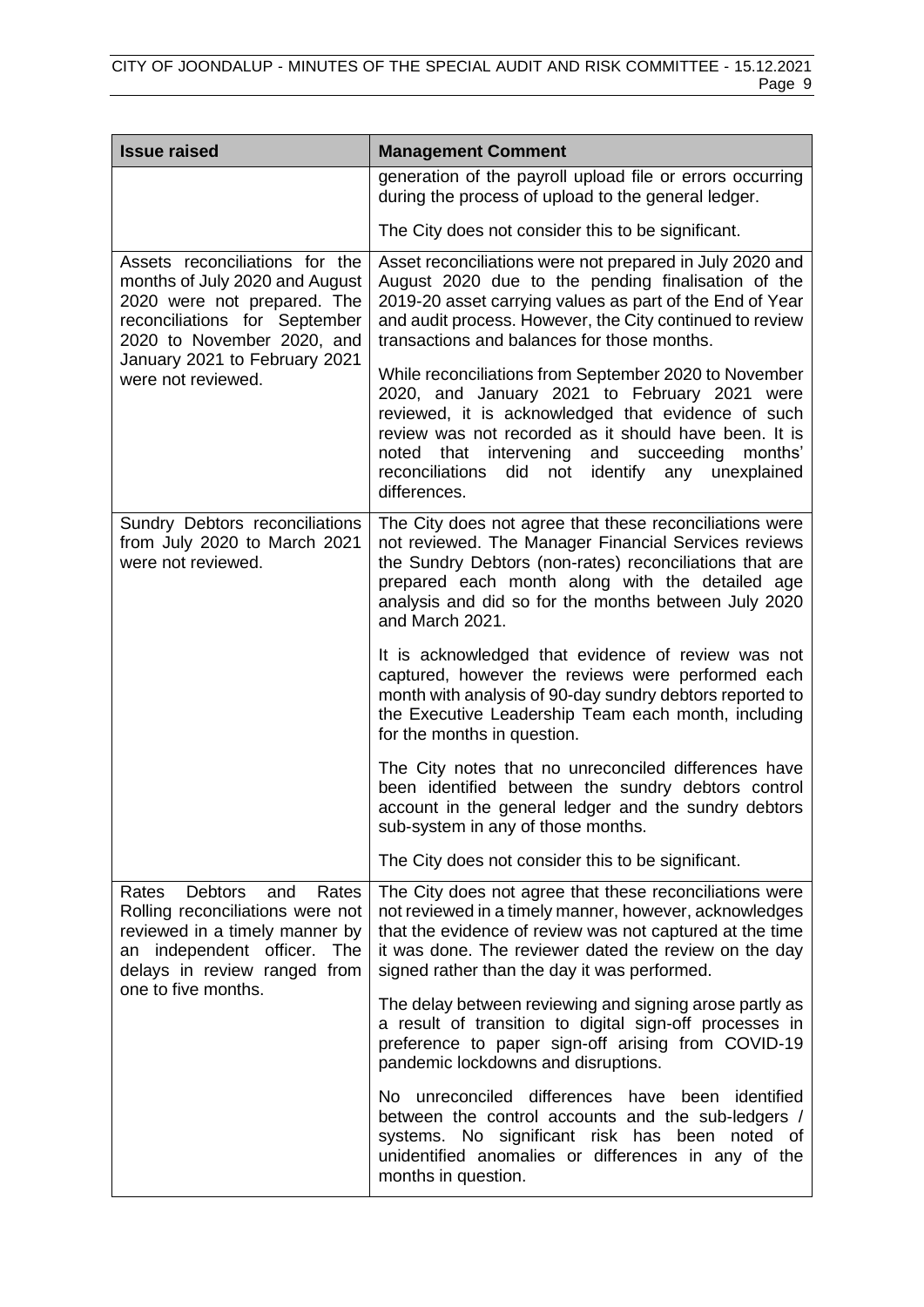| <b>Issue raised</b>                                                                                                                                                                                                   | <b>Management Comment</b>                                                                                                                                                                                                                                                                                                                          |  |
|-----------------------------------------------------------------------------------------------------------------------------------------------------------------------------------------------------------------------|----------------------------------------------------------------------------------------------------------------------------------------------------------------------------------------------------------------------------------------------------------------------------------------------------------------------------------------------------|--|
|                                                                                                                                                                                                                       | generation of the payroll upload file or errors occurring<br>during the process of upload to the general ledger.                                                                                                                                                                                                                                   |  |
|                                                                                                                                                                                                                       | The City does not consider this to be significant.                                                                                                                                                                                                                                                                                                 |  |
| Assets reconciliations for the<br>months of July 2020 and August<br>2020 were not prepared. The<br>reconciliations for September<br>2020 to November 2020, and<br>January 2021 to February 2021<br>were not reviewed. | Asset reconciliations were not prepared in July 2020 and<br>August 2020 due to the pending finalisation of the<br>2019-20 asset carrying values as part of the End of Year<br>and audit process. However, the City continued to review<br>transactions and balances for those months.                                                              |  |
|                                                                                                                                                                                                                       | While reconciliations from September 2020 to November<br>2020, and January 2021 to February 2021 were<br>reviewed, it is acknowledged that evidence of such<br>review was not recorded as it should have been. It is<br>noted that intervening and succeeding<br>months'<br>reconciliations<br>did<br>not identify any unexplained<br>differences. |  |
| Sundry Debtors reconciliations<br>from July 2020 to March 2021<br>were not reviewed.                                                                                                                                  | The City does not agree that these reconciliations were<br>not reviewed. The Manager Financial Services reviews<br>the Sundry Debtors (non-rates) reconciliations that are<br>prepared each month along with the detailed age<br>analysis and did so for the months between July 2020<br>and March 2021.                                           |  |
|                                                                                                                                                                                                                       | It is acknowledged that evidence of review was not<br>captured, however the reviews were performed each<br>month with analysis of 90-day sundry debtors reported to<br>the Executive Leadership Team each month, including<br>for the months in question.                                                                                          |  |
|                                                                                                                                                                                                                       | The City notes that no unreconciled differences have<br>been identified between the sundry debtors control<br>account in the general ledger and the sundry debtors<br>sub-system in any of those months.                                                                                                                                           |  |
|                                                                                                                                                                                                                       | The City does not consider this to be significant.                                                                                                                                                                                                                                                                                                 |  |
| <b>Debtors</b><br>Rates<br>Rates<br>and<br>Rolling reconciliations were not<br>reviewed in a timely manner by<br>an independent officer. The<br>delays in review ranged from<br>one to five months.                   | The City does not agree that these reconciliations were<br>not reviewed in a timely manner, however, acknowledges<br>that the evidence of review was not captured at the time<br>it was done. The reviewer dated the review on the day<br>signed rather than the day it was performed.                                                             |  |
|                                                                                                                                                                                                                       | The delay between reviewing and signing arose partly as<br>a result of transition to digital sign-off processes in<br>preference to paper sign-off arising from COVID-19<br>pandemic lockdowns and disruptions.                                                                                                                                    |  |
|                                                                                                                                                                                                                       | No unreconciled differences have been identified<br>between the control accounts and the sub-ledgers /<br>systems. No significant risk has been noted of<br>unidentified anomalies or differences in any of the<br>months in question.                                                                                                             |  |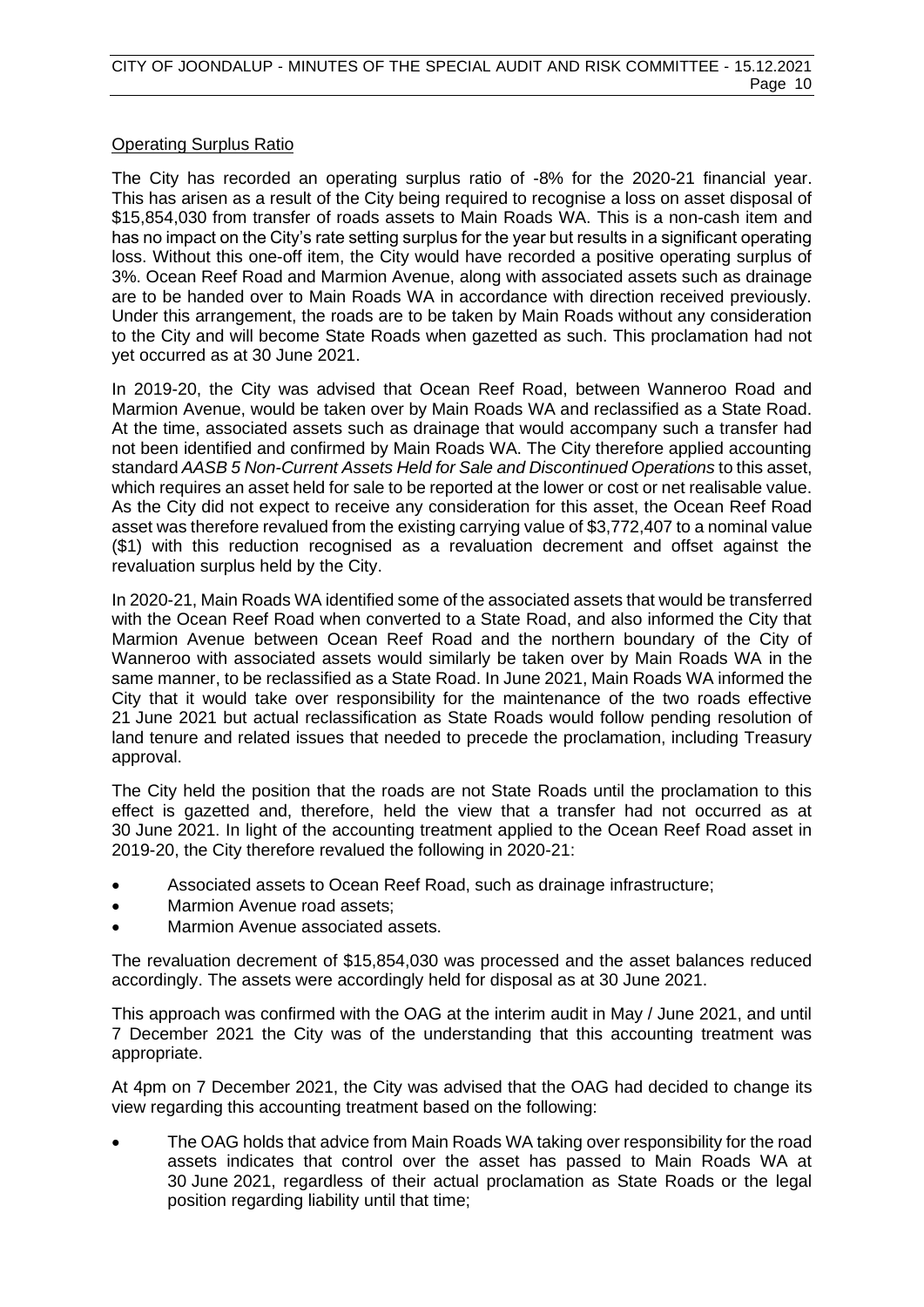# Operating Surplus Ratio

The City has recorded an operating surplus ratio of -8% for the 2020-21 financial year. This has arisen as a result of the City being required to recognise a loss on asset disposal of \$15,854,030 from transfer of roads assets to Main Roads WA. This is a non-cash item and has no impact on the City's rate setting surplus for the year but results in a significant operating loss. Without this one-off item, the City would have recorded a positive operating surplus of 3%. Ocean Reef Road and Marmion Avenue, along with associated assets such as drainage are to be handed over to Main Roads WA in accordance with direction received previously. Under this arrangement, the roads are to be taken by Main Roads without any consideration to the City and will become State Roads when gazetted as such. This proclamation had not yet occurred as at 30 June 2021.

In 2019-20, the City was advised that Ocean Reef Road, between Wanneroo Road and Marmion Avenue, would be taken over by Main Roads WA and reclassified as a State Road. At the time, associated assets such as drainage that would accompany such a transfer had not been identified and confirmed by Main Roads WA. The City therefore applied accounting standard *AASB 5 Non-Current Assets Held for Sale and Discontinued Operations* to this asset, which requires an asset held for sale to be reported at the lower or cost or net realisable value. As the City did not expect to receive any consideration for this asset, the Ocean Reef Road asset was therefore revalued from the existing carrying value of \$3,772,407 to a nominal value (\$1) with this reduction recognised as a revaluation decrement and offset against the revaluation surplus held by the City.

In 2020-21, Main Roads WA identified some of the associated assets that would be transferred with the Ocean Reef Road when converted to a State Road, and also informed the City that Marmion Avenue between Ocean Reef Road and the northern boundary of the City of Wanneroo with associated assets would similarly be taken over by Main Roads WA in the same manner, to be reclassified as a State Road. In June 2021, Main Roads WA informed the City that it would take over responsibility for the maintenance of the two roads effective 21 June 2021 but actual reclassification as State Roads would follow pending resolution of land tenure and related issues that needed to precede the proclamation, including Treasury approval.

The City held the position that the roads are not State Roads until the proclamation to this effect is gazetted and, therefore, held the view that a transfer had not occurred as at 30 June 2021. In light of the accounting treatment applied to the Ocean Reef Road asset in 2019-20, the City therefore revalued the following in 2020-21:

- Associated assets to Ocean Reef Road, such as drainage infrastructure;
- Marmion Avenue road assets;
- Marmion Avenue associated assets.

The revaluation decrement of \$15,854,030 was processed and the asset balances reduced accordingly. The assets were accordingly held for disposal as at 30 June 2021.

This approach was confirmed with the OAG at the interim audit in May / June 2021, and until 7 December 2021 the City was of the understanding that this accounting treatment was appropriate.

At 4pm on 7 December 2021, the City was advised that the OAG had decided to change its view regarding this accounting treatment based on the following:

• The OAG holds that advice from Main Roads WA taking over responsibility for the road assets indicates that control over the asset has passed to Main Roads WA at 30 June 2021, regardless of their actual proclamation as State Roads or the legal position regarding liability until that time;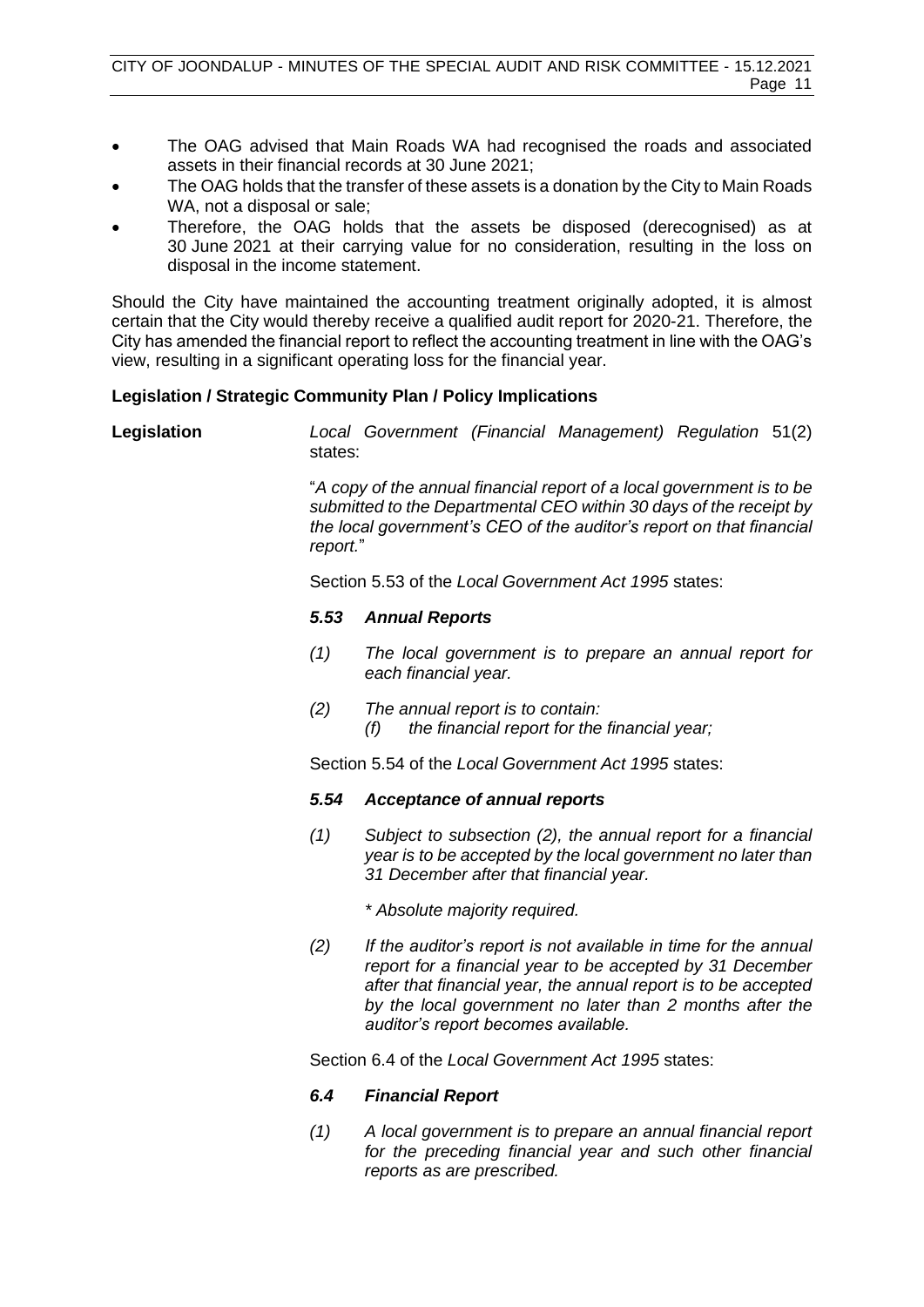- The OAG advised that Main Roads WA had recognised the roads and associated assets in their financial records at 30 June 2021;
- The OAG holds that the transfer of these assets is a donation by the City to Main Roads WA, not a disposal or sale;
- Therefore, the OAG holds that the assets be disposed (derecognised) as at 30 June 2021 at their carrying value for no consideration, resulting in the loss on disposal in the income statement.

Should the City have maintained the accounting treatment originally adopted, it is almost certain that the City would thereby receive a qualified audit report for 2020-21. Therefore, the City has amended the financial report to reflect the accounting treatment in line with the OAG's view, resulting in a significant operating loss for the financial year.

# **Legislation / Strategic Community Plan / Policy Implications**

**Legislation** *Local Government (Financial Management) Regulation* 51(2) states:

> "*A copy of the annual financial report of a local government is to be submitted to the Departmental CEO within 30 days of the receipt by the local government's CEO of the auditor's report on that financial report.*"

Section 5.53 of the *Local Government Act 1995* states:

# *5.53 Annual Reports*

- *(1) The local government is to prepare an annual report for each financial year.*
- *(2) The annual report is to contain: (f) the financial report for the financial year;*

Section 5.54 of the *Local Government Act 1995* states:

# *5.54 Acceptance of annual reports*

- *(1) Subject to subsection (2), the annual report for a financial year is to be accepted by the local government no later than 31 December after that financial year.* 
	- *\* Absolute majority required.*
- *(2) If the auditor's report is not available in time for the annual report for a financial year to be accepted by 31 December after that financial year, the annual report is to be accepted by the local government no later than 2 months after the auditor's report becomes available.*

Section 6.4 of the *Local Government Act 1995* states:

# *6.4 Financial Report*

*(1) A local government is to prepare an annual financial report for the preceding financial year and such other financial reports as are prescribed.*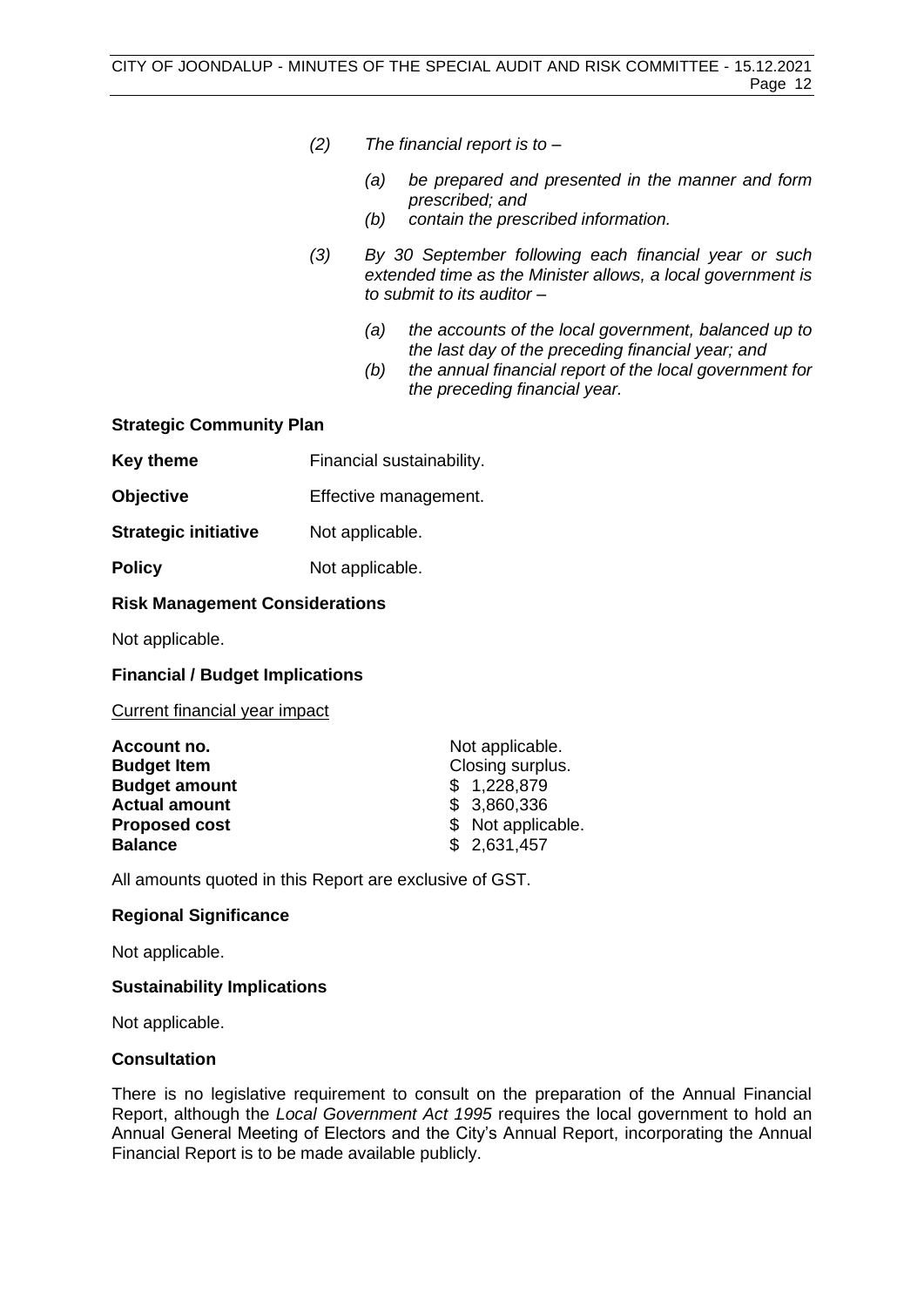- *(2) The financial report is to –*
	- *(a) be prepared and presented in the manner and form prescribed; and*
	- *(b) contain the prescribed information.*
- *(3) By 30 September following each financial year or such extended time as the Minister allows, a local government is to submit to its auditor –*
	- *(a) the accounts of the local government, balanced up to the last day of the preceding financial year; and*
	- *(b) the annual financial report of the local government for the preceding financial year.*

# **Strategic Community Plan**

| <b>Key theme</b> | Financial sustainability. |
|------------------|---------------------------|
|------------------|---------------------------|

- **Objective** Effective management.
- **Strategic initiative** Not applicable.
- **Policy** Not applicable.

# **Risk Management Considerations**

Not applicable.

# **Financial / Budget Implications**

# Current financial year impact

| Account no.          | Not applicable.    |  |
|----------------------|--------------------|--|
| <b>Budget Item</b>   | Closing surplus.   |  |
| <b>Budget amount</b> | \$1,228,879        |  |
| <b>Actual amount</b> | \$3,860,336        |  |
| <b>Proposed cost</b> | \$ Not applicable. |  |
| <b>Balance</b>       | \$2,631,457        |  |

All amounts quoted in this Report are exclusive of GST.

# **Regional Significance**

Not applicable.

# **Sustainability Implications**

Not applicable.

# **Consultation**

There is no legislative requirement to consult on the preparation of the Annual Financial Report, although the *Local Government Act 1995* requires the local government to hold an Annual General Meeting of Electors and the City's Annual Report, incorporating the Annual Financial Report is to be made available publicly.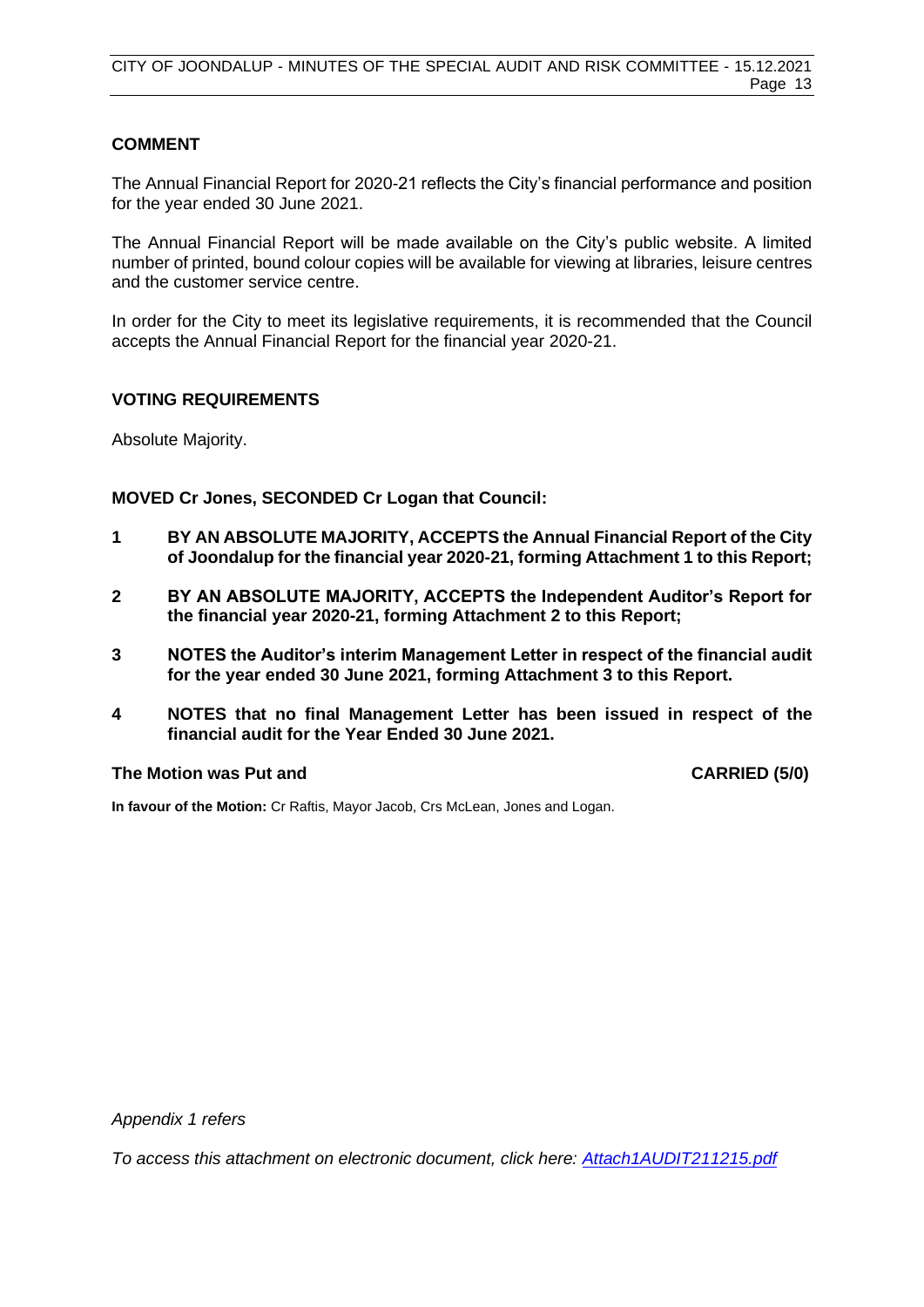# **COMMENT**

The Annual Financial Report for 2020-21 reflects the City's financial performance and position for the year ended 30 June 2021.

The Annual Financial Report will be made available on the City's public website. A limited number of printed, bound colour copies will be available for viewing at libraries, leisure centres and the customer service centre.

In order for the City to meet its legislative requirements, it is recommended that the Council accepts the Annual Financial Report for the financial year 2020-21.

# **VOTING REQUIREMENTS**

Absolute Majority.

**MOVED Cr Jones, SECONDED Cr Logan that Council:**

- **1 BY AN ABSOLUTE MAJORITY, ACCEPTS the Annual Financial Report of the City of Joondalup for the financial year 2020-21, forming Attachment 1 to this Report;**
- **2 BY AN ABSOLUTE MAJORITY, ACCEPTS the Independent Auditor's Report for the financial year 2020-21, forming Attachment 2 to this Report;**
- **3 NOTES the Auditor's interim Management Letter in respect of the financial audit for the year ended 30 June 2021, forming Attachment 3 to this Report.**
- **4 NOTES that no final Management Letter has been issued in respect of the financial audit for the Year Ended 30 June 2021.**

# **The Motion was Put and CARRIED (5/0)**

**In favour of the Motion:** Cr Raftis, Mayor Jacob, Crs McLean, Jones and Logan.

*Appendix 1 refers*

*To access this attachment on electronic document, click here: [Attach1AUDIT211215.pdf](http://www.joondalup.wa.gov.au/files/committees/AURI/2021/Attach1AUDIT211215.pdf)*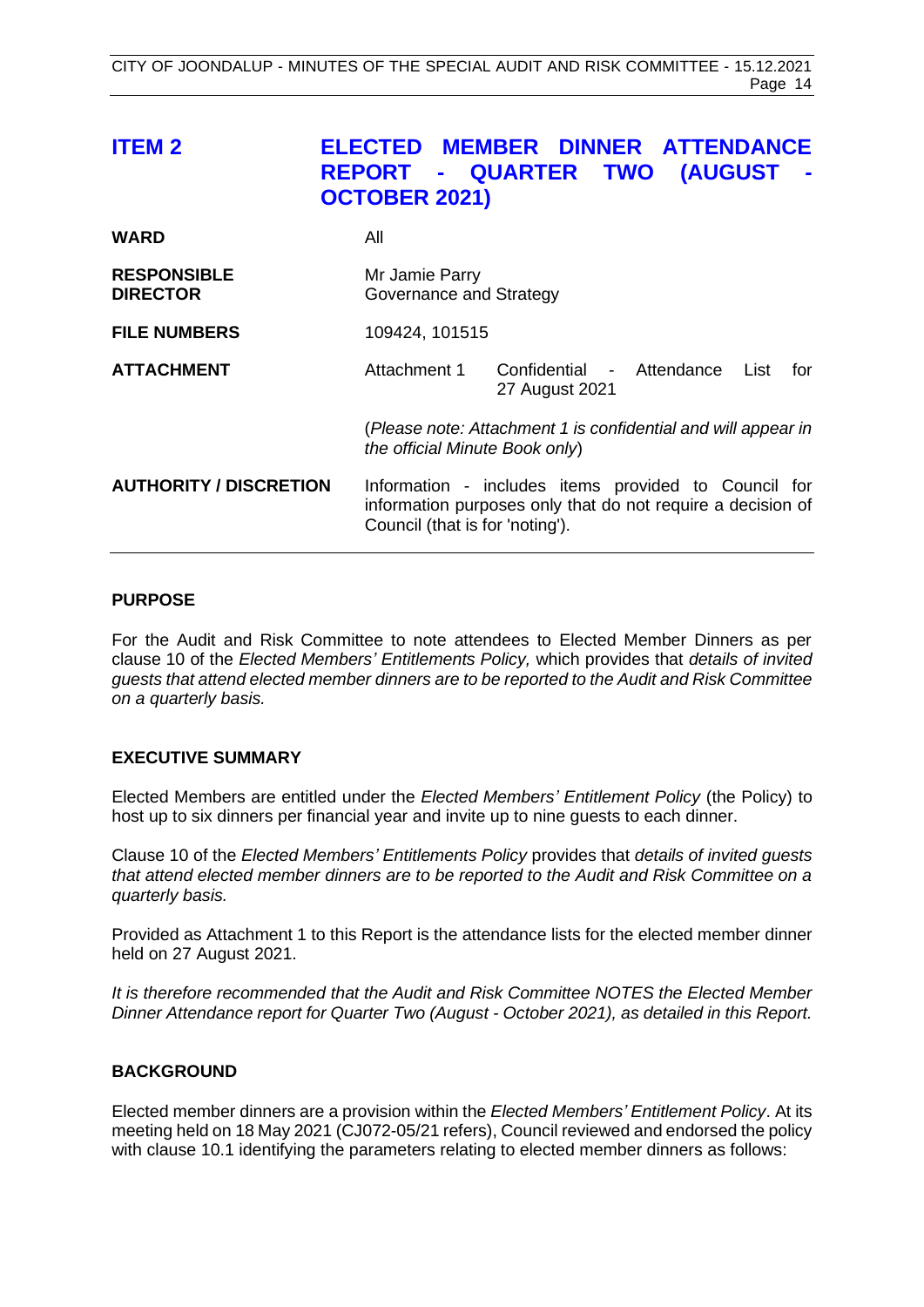<span id="page-13-0"></span>

| <b>ITEM 2</b>                         | <b>REPORT - QUARTER TWO</b><br><b>OCTOBER 2021)</b> |                                             | ELECTED MEMBER DINNER ATTENDANCE<br><b>(AUGUST</b>                                                                  |
|---------------------------------------|-----------------------------------------------------|---------------------------------------------|---------------------------------------------------------------------------------------------------------------------|
| <b>WARD</b>                           | All                                                 |                                             |                                                                                                                     |
| <b>RESPONSIBLE</b><br><b>DIRECTOR</b> | Mr Jamie Parry<br>Governance and Strategy           |                                             |                                                                                                                     |
| <b>FILE NUMBERS</b>                   | 109424, 101515                                      |                                             |                                                                                                                     |
| <b>ATTACHMENT</b>                     | Attachment 1                                        | Confidential - Attendance<br>27 August 2021 | List<br>for                                                                                                         |
|                                       | the official Minute Book only)                      |                                             | (Please note: Attachment 1 is confidential and will appear in                                                       |
| <b>AUTHORITY / DISCRETION</b>         | Council (that is for 'noting').                     |                                             | Information - includes items provided to Council for<br>information purposes only that do not require a decision of |

# **PURPOSE**

For the Audit and Risk Committee to note attendees to Elected Member Dinners as per clause 10 of the *Elected Members' Entitlements Policy,* which provides that *details of invited guests that attend elected member dinners are to be reported to the Audit and Risk Committee on a quarterly basis.*

# **EXECUTIVE SUMMARY**

Elected Members are entitled under the *Elected Members' Entitlement Policy* (the Policy) to host up to six dinners per financial year and invite up to nine guests to each dinner.

Clause 10 of the *Elected Members' Entitlements Policy* provides that *details of invited guests that attend elected member dinners are to be reported to the Audit and Risk Committee on a quarterly basis.*

Provided as Attachment 1 to this Report is the attendance lists for the elected member dinner held on 27 August 2021.

*It is therefore recommended that the Audit and Risk Committee NOTES the Elected Member Dinner Attendance report for Quarter Two (August - October 2021), as detailed in this Report.*

# **BACKGROUND**

Elected member dinners are a provision within the *Elected Members' Entitlement Policy*. At its meeting held on 18 May 2021 (CJ072-05/21 refers), Council reviewed and endorsed the policy with clause 10.1 identifying the parameters relating to elected member dinners as follows: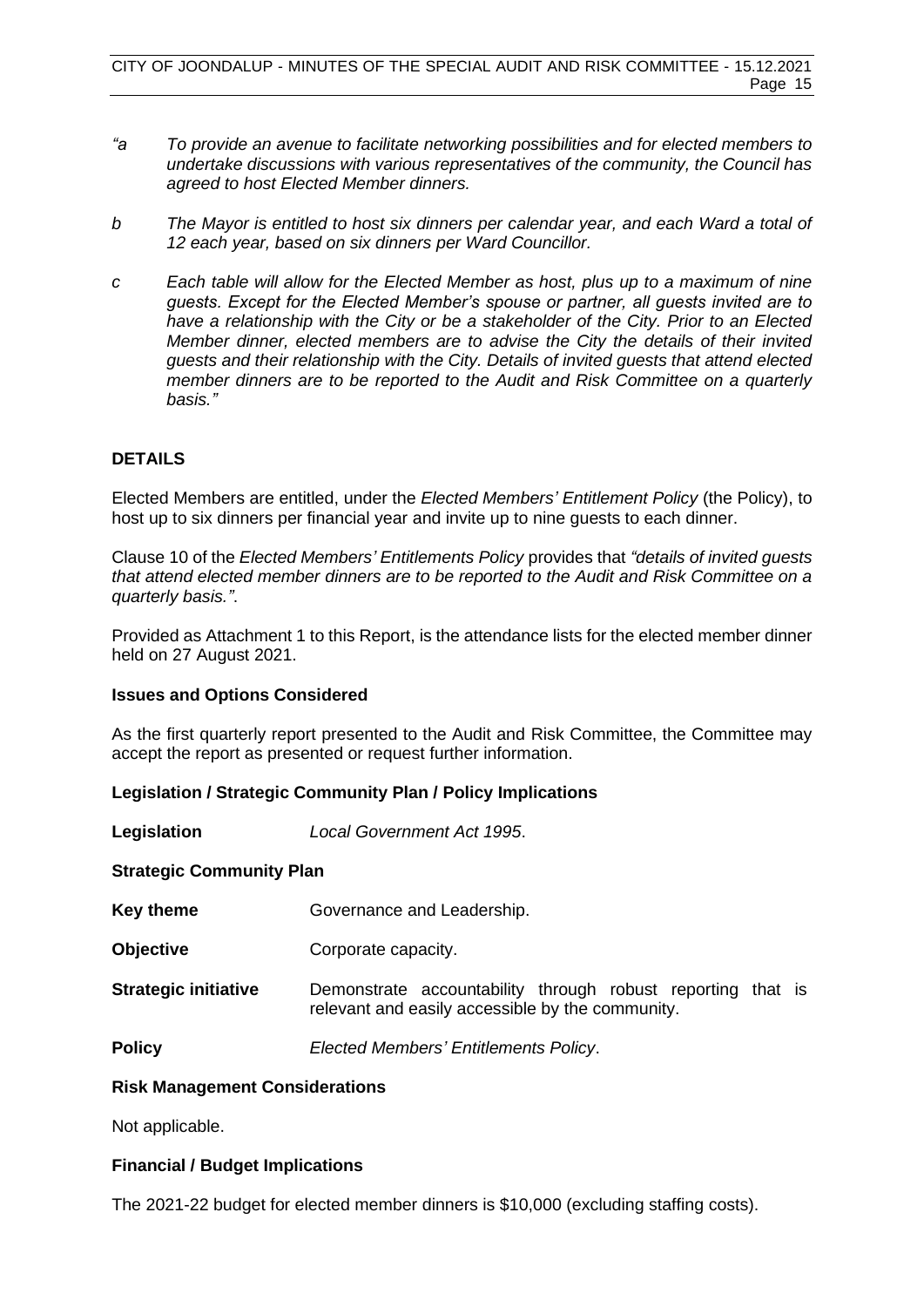- *"a To provide an avenue to facilitate networking possibilities and for elected members to undertake discussions with various representatives of the community, the Council has agreed to host Elected Member dinners.*
- *b The Mayor is entitled to host six dinners per calendar year, and each Ward a total of 12 each year, based on six dinners per Ward Councillor.*
- *c Each table will allow for the Elected Member as host, plus up to a maximum of nine guests. Except for the Elected Member's spouse or partner, all guests invited are to have a relationship with the City or be a stakeholder of the City. Prior to an Elected Member dinner, elected members are to advise the City the details of their invited guests and their relationship with the City. Details of invited guests that attend elected member dinners are to be reported to the Audit and Risk Committee on a quarterly basis."*

# **DETAILS**

Elected Members are entitled, under the *Elected Members' Entitlement Policy* (the Policy), to host up to six dinners per financial year and invite up to nine guests to each dinner.

Clause 10 of the *Elected Members' Entitlements Policy* provides that *"details of invited guests that attend elected member dinners are to be reported to the Audit and Risk Committee on a quarterly basis."*.

Provided as Attachment 1 to this Report, is the attendance lists for the elected member dinner held on 27 August 2021.

# **Issues and Options Considered**

As the first quarterly report presented to the Audit and Risk Committee, the Committee may accept the report as presented or request further information.

# **Legislation / Strategic Community Plan / Policy Implications**

**Legislation** *Local Government Act 1995*.

# **Strategic Community Plan**

- **Key theme Governance and Leadership.**
- **Objective Corporate capacity.**
- **Strategic initiative** Demonstrate accountability through robust reporting that is relevant and easily accessible by the community.

**Policy** *Elected Members' Entitlements Policy*.

# **Risk Management Considerations**

Not applicable.

# **Financial / Budget Implications**

The 2021-22 budget for elected member dinners is \$10,000 (excluding staffing costs).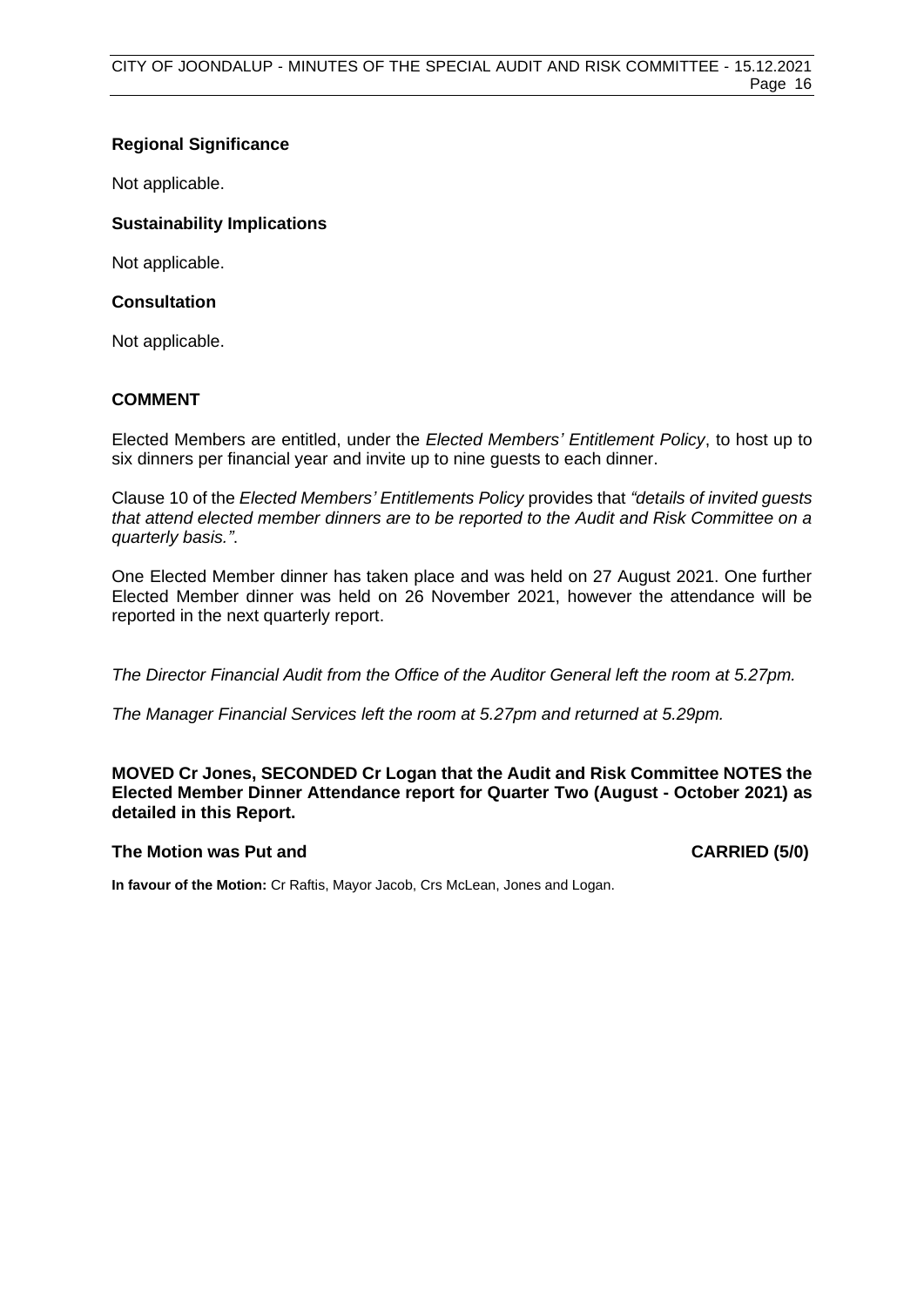# **Regional Significance**

Not applicable.

# **Sustainability Implications**

Not applicable.

# **Consultation**

Not applicable.

# **COMMENT**

Elected Members are entitled, under the *Elected Members' Entitlement Policy*, to host up to six dinners per financial year and invite up to nine guests to each dinner.

Clause 10 of the *Elected Members' Entitlements Policy* provides that *"details of invited guests that attend elected member dinners are to be reported to the Audit and Risk Committee on a quarterly basis."*.

One Elected Member dinner has taken place and was held on 27 August 2021. One further Elected Member dinner was held on 26 November 2021, however the attendance will be reported in the next quarterly report.

*The Director Financial Audit from the Office of the Auditor General left the room at 5.27pm.*

*The Manager Financial Services left the room at 5.27pm and returned at 5.29pm.*

**MOVED Cr Jones, SECONDED Cr Logan that the Audit and Risk Committee NOTES the Elected Member Dinner Attendance report for Quarter Two (August - October 2021) as detailed in this Report.**

# **The Motion was Put and CARRIED (5/0)**

**In favour of the Motion:** Cr Raftis, Mayor Jacob, Crs McLean, Jones and Logan.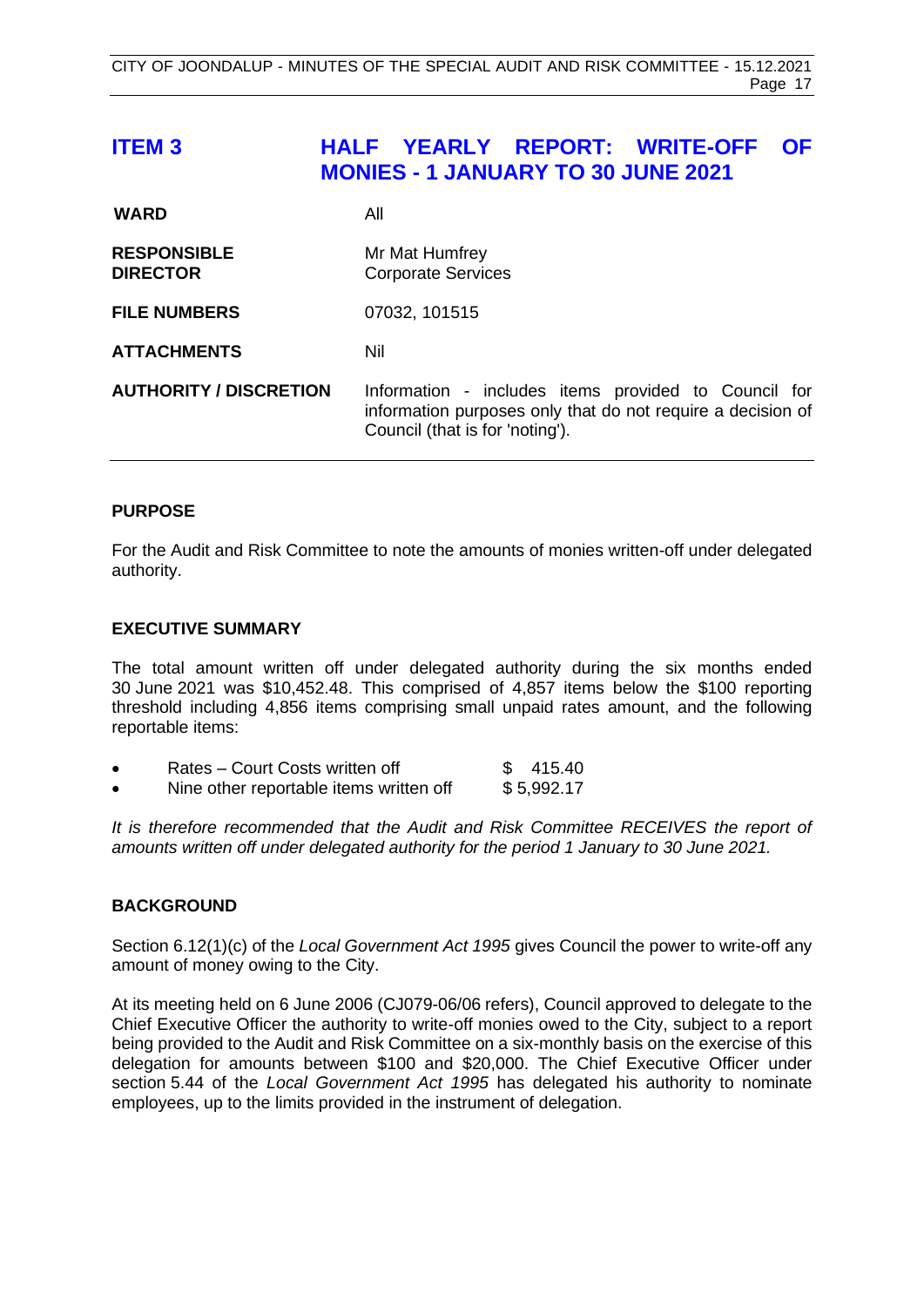# <span id="page-16-0"></span>**ITEM 3 HALF YEARLY REPORT: WRITE-OFF OF MONIES - 1 JANUARY TO 30 JUNE 2021**

| <b>WARD</b>                           | All                                                                                                                                                    |
|---------------------------------------|--------------------------------------------------------------------------------------------------------------------------------------------------------|
| <b>RESPONSIBLE</b><br><b>DIRECTOR</b> | Mr Mat Humfrey<br><b>Corporate Services</b>                                                                                                            |
| <b>FILE NUMBERS</b>                   | 07032, 101515                                                                                                                                          |
| <b>ATTACHMENTS</b>                    | Nil                                                                                                                                                    |
| <b>AUTHORITY / DISCRETION</b>         | Information - includes items provided to Council for<br>information purposes only that do not require a decision of<br>Council (that is for 'noting'). |

# **PURPOSE**

For the Audit and Risk Committee to note the amounts of monies written-off under delegated authority.

# **EXECUTIVE SUMMARY**

The total amount written off under delegated authority during the six months ended 30 June 2021 was \$10,452.48. This comprised of 4,857 items below the \$100 reporting threshold including 4,856 items comprising small unpaid rates amount, and the following reportable items:

|  | Rates – Court Costs written off |  | \$415.40 |
|--|---------------------------------|--|----------|
|  |                                 |  |          |

Nine other reportable items written off  $$5,992.17$ 

It is therefore recommended that the Audit and Risk Committee RECEIVES the report of *amounts written off under delegated authority for the period 1 January to 30 June 2021.* 

# **BACKGROUND**

Section 6.12(1)(c) of the *Local Government Act 1995* gives Council the power to write-off any amount of money owing to the City.

At its meeting held on 6 June 2006 (CJ079-06/06 refers), Council approved to delegate to the Chief Executive Officer the authority to write-off monies owed to the City, subject to a report being provided to the Audit and Risk Committee on a six-monthly basis on the exercise of this delegation for amounts between \$100 and \$20,000. The Chief Executive Officer under section 5.44 of the *Local Government Act 1995* has delegated his authority to nominate employees, up to the limits provided in the instrument of delegation.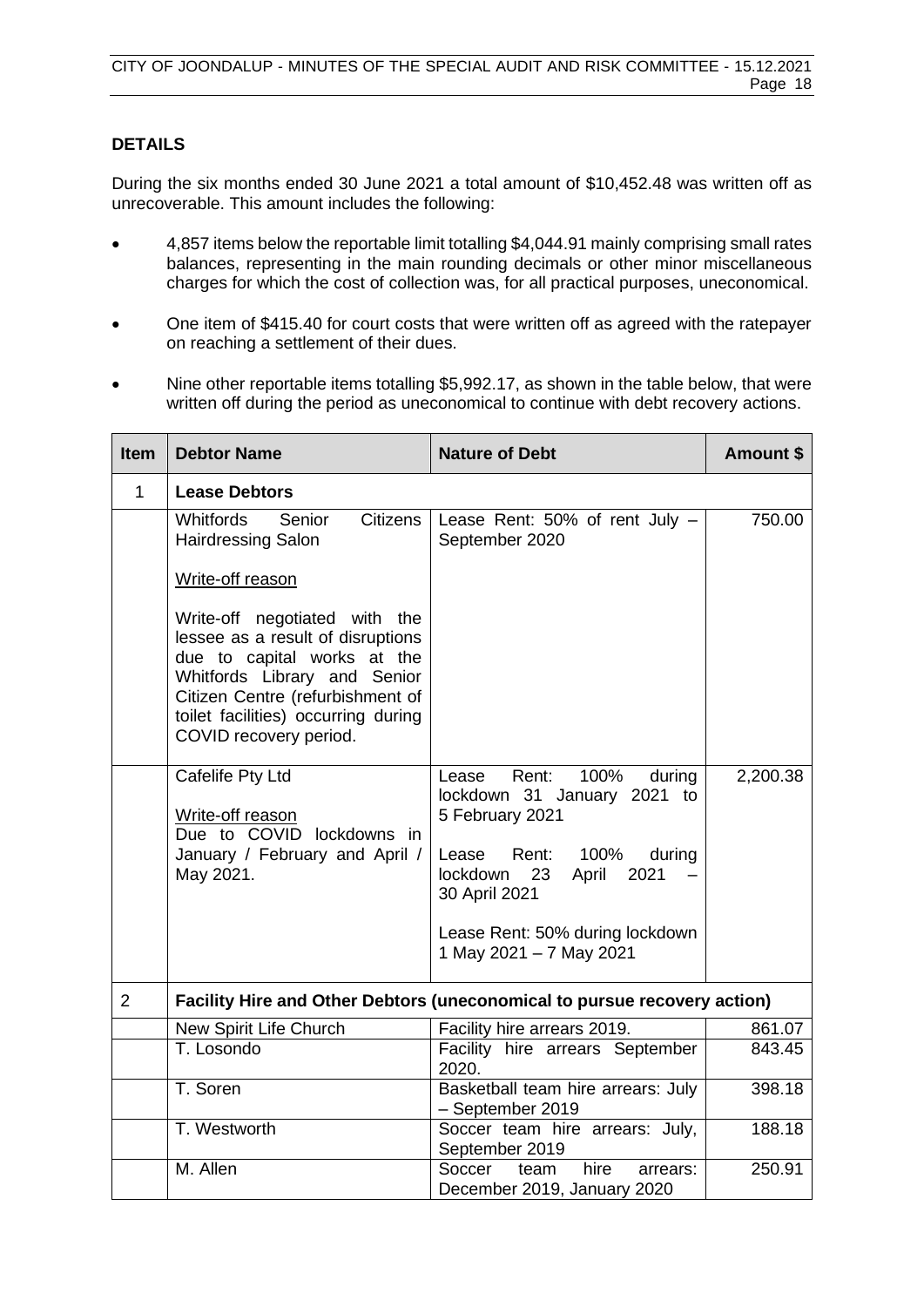# **DETAILS**

During the six months ended 30 June 2021 a total amount of \$10,452.48 was written off as unrecoverable. This amount includes the following:

- 4,857 items below the reportable limit totalling \$4,044.91 mainly comprising small rates balances, representing in the main rounding decimals or other minor miscellaneous charges for which the cost of collection was, for all practical purposes, uneconomical.
- One item of \$415.40 for court costs that were written off as agreed with the ratepayer on reaching a settlement of their dues.
- Nine other reportable items totalling \$5,992.17, as shown in the table below, that were written off during the period as uneconomical to continue with debt recovery actions.

| <b>Item</b>    | <b>Debtor Name</b>                                                                                                                                                                                                                     | <b>Nature of Debt</b>                                                                                                                                                                                                                    | <b>Amount \$</b> |  |
|----------------|----------------------------------------------------------------------------------------------------------------------------------------------------------------------------------------------------------------------------------------|------------------------------------------------------------------------------------------------------------------------------------------------------------------------------------------------------------------------------------------|------------------|--|
| $\mathbf{1}$   | <b>Lease Debtors</b>                                                                                                                                                                                                                   |                                                                                                                                                                                                                                          |                  |  |
|                | Senior<br><b>Citizens</b><br><b>Whitfords</b><br><b>Hairdressing Salon</b>                                                                                                                                                             | Lease Rent: 50% of rent July -<br>September 2020                                                                                                                                                                                         | 750.00           |  |
|                | Write-off reason                                                                                                                                                                                                                       |                                                                                                                                                                                                                                          |                  |  |
|                | Write-off negotiated with the<br>lessee as a result of disruptions<br>due to capital works at the<br>Whitfords Library and Senior<br>Citizen Centre (refurbishment of<br>toilet facilities) occurring during<br>COVID recovery period. |                                                                                                                                                                                                                                          |                  |  |
|                | Cafelife Pty Ltd<br>Write-off reason<br>Due to COVID lockdowns in<br>January / February and April /<br>May 2021.                                                                                                                       | Rent:<br>100%<br>Lease<br>during<br>lockdown 31 January 2021 to<br>5 February 2021<br>Rent:<br>100%<br>Lease<br>during<br>23<br>lockdown<br>April<br>2021<br>30 April 2021<br>Lease Rent: 50% during lockdown<br>1 May 2021 - 7 May 2021 | 2,200.38         |  |
| $\overline{2}$ | Facility Hire and Other Debtors (uneconomical to pursue recovery action)                                                                                                                                                               |                                                                                                                                                                                                                                          |                  |  |
|                | New Spirit Life Church                                                                                                                                                                                                                 | Facility hire arrears 2019.                                                                                                                                                                                                              | 861.07           |  |
|                | T. Losondo                                                                                                                                                                                                                             | Facility hire arrears September<br>2020.                                                                                                                                                                                                 | 843.45           |  |
|                | T. Soren                                                                                                                                                                                                                               | Basketball team hire arrears: July<br>- September 2019                                                                                                                                                                                   | 398.18           |  |
|                | T. Westworth                                                                                                                                                                                                                           | Soccer team hire arrears: July,<br>September 2019                                                                                                                                                                                        | 188.18           |  |
|                | M. Allen                                                                                                                                                                                                                               | hire<br>Soccer<br>team<br>arrears:<br>December 2019, January 2020                                                                                                                                                                        | 250.91           |  |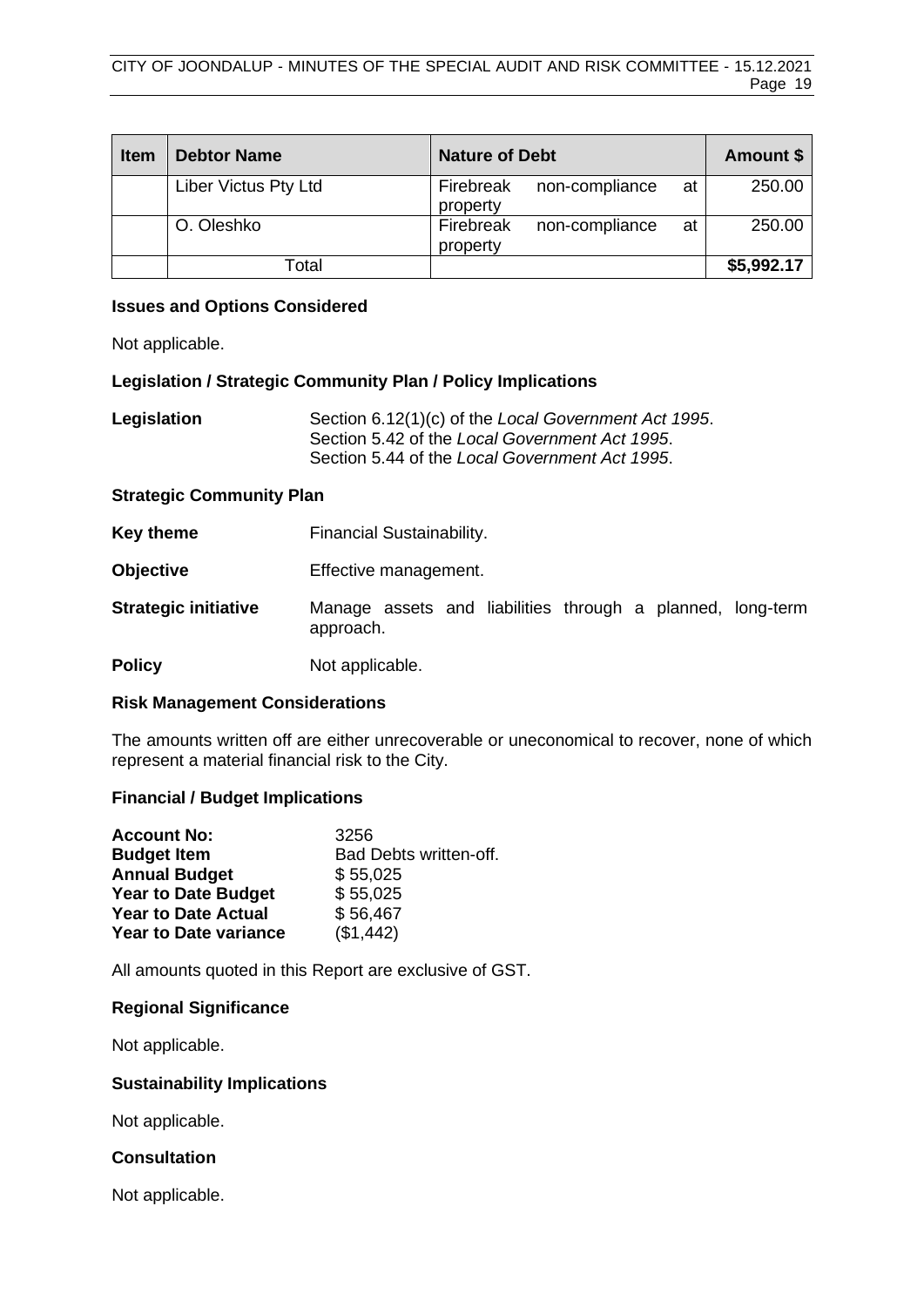| <b>Item</b> | <b>Debtor Name</b>   | <b>Nature of Debt</b>                         | Amount \$  |
|-------------|----------------------|-----------------------------------------------|------------|
|             | Liber Victus Pty Ltd | Firebreak<br>non-compliance<br>at<br>property | 250.00     |
|             | O. Oleshko           | Firebreak<br>non-compliance<br>at<br>property | 250.00     |
|             | Total                |                                               | \$5,992.17 |

# **Issues and Options Considered**

Not applicable.

# **Legislation / Strategic Community Plan / Policy Implications**

| Legislation | Section 6.12(1)(c) of the Local Government Act 1995. |
|-------------|------------------------------------------------------|
|             | Section 5.42 of the Local Government Act 1995.       |
|             | Section 5.44 of the Local Government Act 1995.       |

# **Strategic Community Plan**

| Key theme                   | Financial Sustainability.                                               |  |  |
|-----------------------------|-------------------------------------------------------------------------|--|--|
| <b>Objective</b>            | Effective management.                                                   |  |  |
| <b>Strategic initiative</b> | Manage assets and liabilities through a planned, long-term<br>approach. |  |  |
| <b>Policy</b>               | Not applicable.                                                         |  |  |

# **Risk Management Considerations**

The amounts written off are either unrecoverable or uneconomical to recover, none of which represent a material financial risk to the City.

# **Financial / Budget Implications**

| <b>Account No:</b>           | 3256                   |
|------------------------------|------------------------|
| <b>Budget Item</b>           | Bad Debts written-off. |
| <b>Annual Budget</b>         | \$55,025               |
| <b>Year to Date Budget</b>   | \$55,025               |
| <b>Year to Date Actual</b>   | \$56,467               |
| <b>Year to Date variance</b> | (\$1,442)              |

All amounts quoted in this Report are exclusive of GST.

# **Regional Significance**

Not applicable.

# **Sustainability Implications**

Not applicable.

# **Consultation**

Not applicable.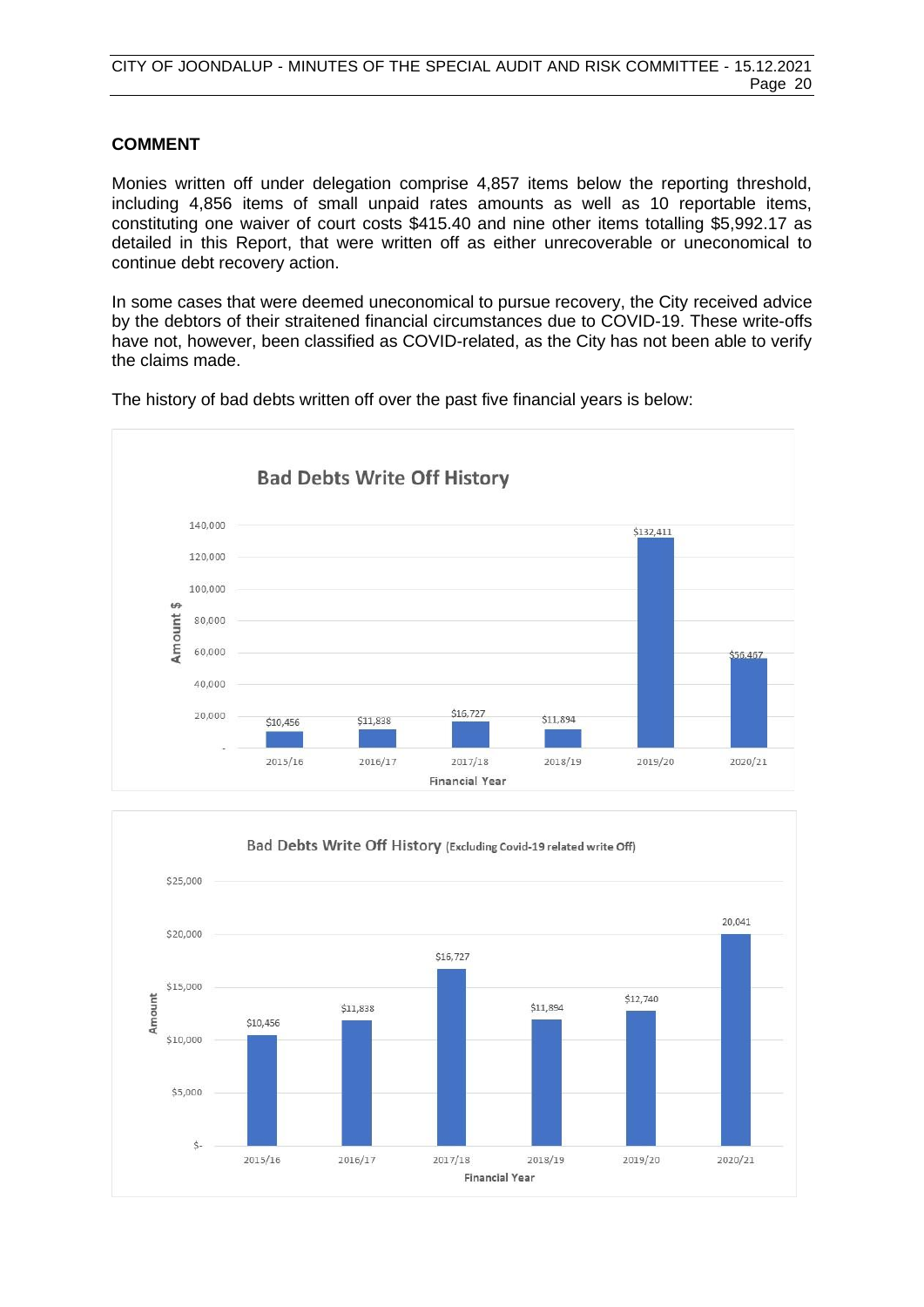# **COMMENT**

Monies written off under delegation comprise 4,857 items below the reporting threshold, including 4,856 items of small unpaid rates amounts as well as 10 reportable items, constituting one waiver of court costs \$415.40 and nine other items totalling \$5,992.17 as detailed in this Report, that were written off as either unrecoverable or uneconomical to continue debt recovery action.

In some cases that were deemed uneconomical to pursue recovery, the City received advice by the debtors of their straitened financial circumstances due to COVID-19. These write-offs have not, however, been classified as COVID-related, as the City has not been able to verify the claims made.



The history of bad debts written off over the past five financial years is below:

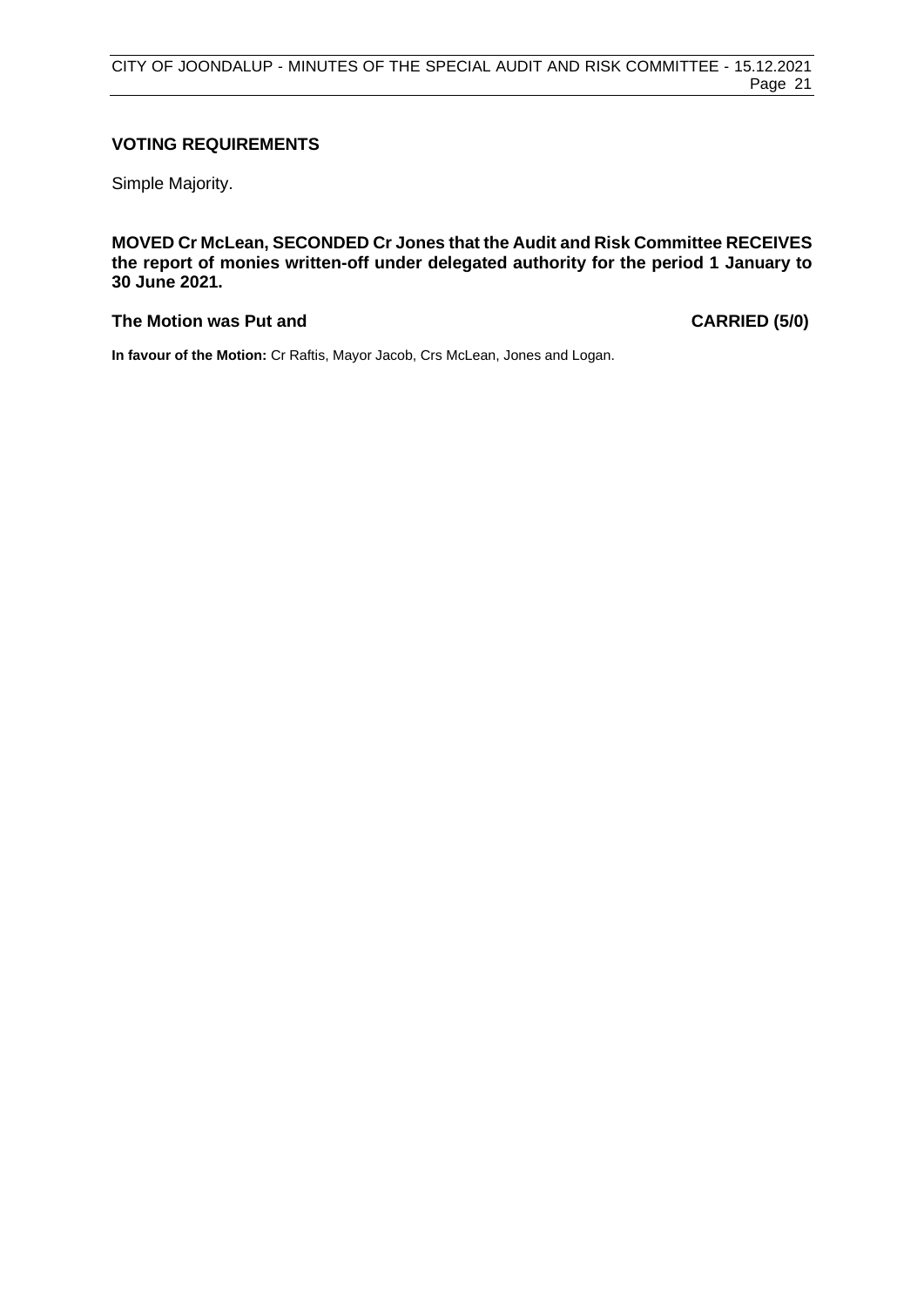# **VOTING REQUIREMENTS**

Simple Majority.

**MOVED Cr McLean, SECONDED Cr Jones that the Audit and Risk Committee RECEIVES the report of monies written-off under delegated authority for the period 1 January to 30 June 2021.**

# **The Motion was Put and CARRIED (5/0)**

**In favour of the Motion:** Cr Raftis, Mayor Jacob, Crs McLean, Jones and Logan.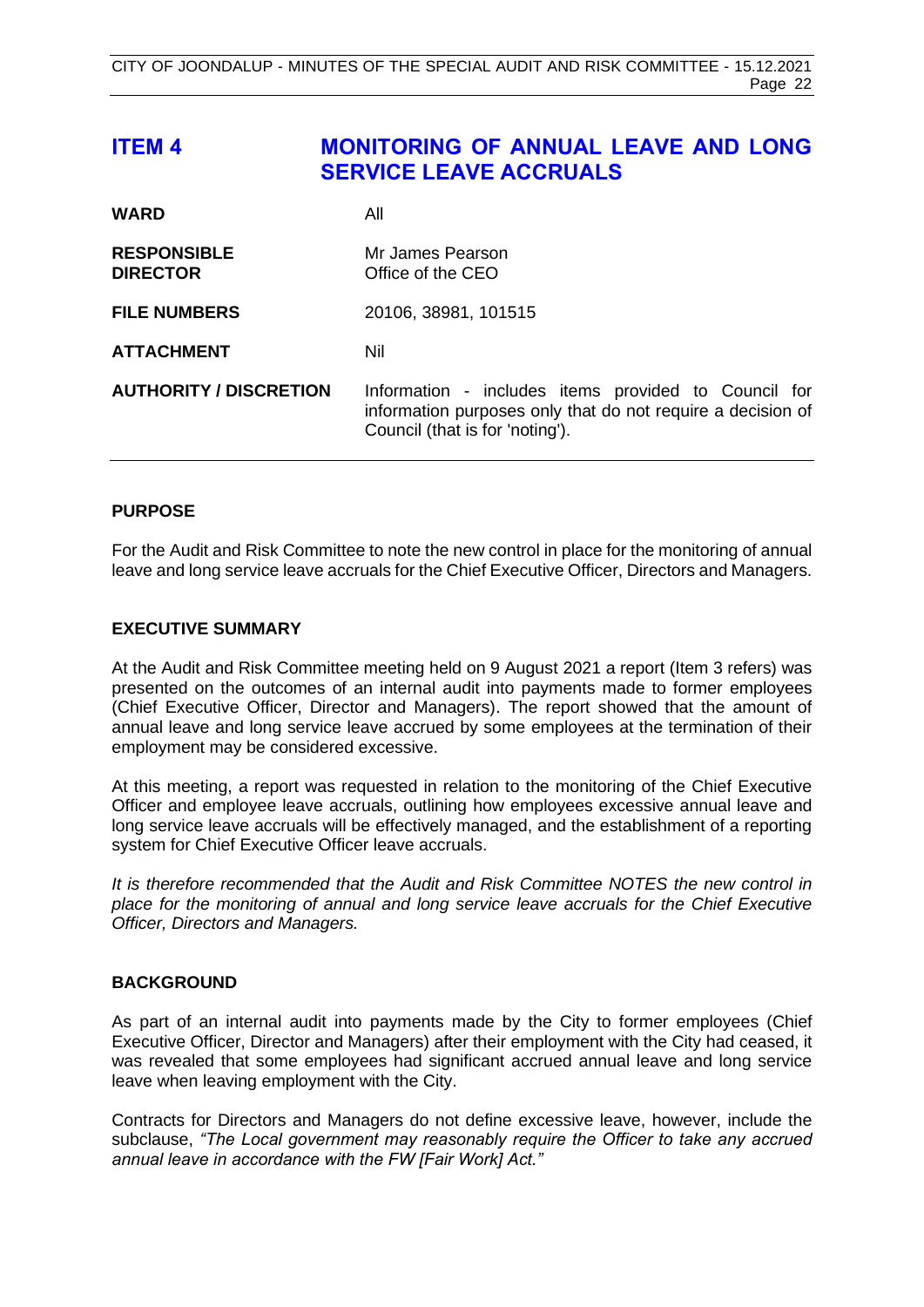# <span id="page-21-0"></span>**ITEM 4 MONITORING OF ANNUAL LEAVE AND LONG SERVICE LEAVE ACCRUALS**

| <b>WARD</b>                           | All                                                                                                                                                    |
|---------------------------------------|--------------------------------------------------------------------------------------------------------------------------------------------------------|
| <b>RESPONSIBLE</b><br><b>DIRECTOR</b> | Mr James Pearson<br>Office of the CEO                                                                                                                  |
| <b>FILE NUMBERS</b>                   | 20106, 38981, 101515                                                                                                                                   |
| <b>ATTACHMENT</b>                     | Nil                                                                                                                                                    |
| <b>AUTHORITY / DISCRETION</b>         | Information - includes items provided to Council for<br>information purposes only that do not require a decision of<br>Council (that is for 'noting'). |

# **PURPOSE**

For the Audit and Risk Committee to note the new control in place for the monitoring of annual leave and long service leave accruals for the Chief Executive Officer, Directors and Managers.

# **EXECUTIVE SUMMARY**

At the Audit and Risk Committee meeting held on 9 August 2021 a report (Item 3 refers) was presented on the outcomes of an internal audit into payments made to former employees (Chief Executive Officer, Director and Managers). The report showed that the amount of annual leave and long service leave accrued by some employees at the termination of their employment may be considered excessive.

At this meeting, a report was requested in relation to the monitoring of the Chief Executive Officer and employee leave accruals, outlining how employees excessive annual leave and long service leave accruals will be effectively managed, and the establishment of a reporting system for Chief Executive Officer leave accruals.

*It is therefore recommended that the Audit and Risk Committee NOTES the new control in place for the monitoring of annual and long service leave accruals for the Chief Executive Officer, Directors and Managers.*

# **BACKGROUND**

As part of an internal audit into payments made by the City to former employees (Chief Executive Officer, Director and Managers) after their employment with the City had ceased, it was revealed that some employees had significant accrued annual leave and long service leave when leaving employment with the City.

Contracts for Directors and Managers do not define excessive leave, however, include the subclause, *"The Local government may reasonably require the Officer to take any accrued annual leave in accordance with the FW [Fair Work] Act."*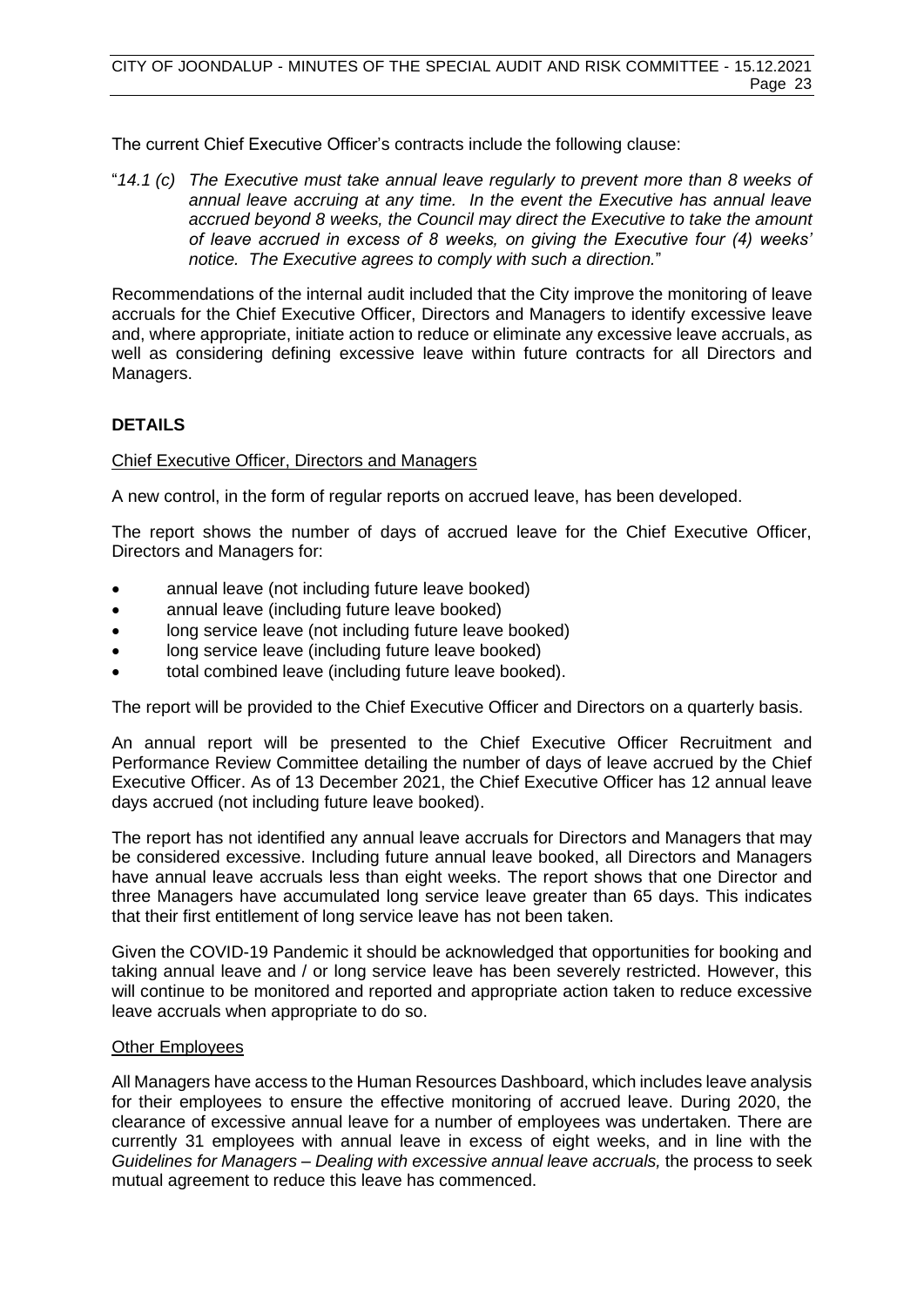The current Chief Executive Officer's contracts include the following clause:

"*14.1 (c) The Executive must take annual leave regularly to prevent more than 8 weeks of annual leave accruing at any time. In the event the Executive has annual leave accrued beyond 8 weeks, the Council may direct the Executive to take the amount of leave accrued in excess of 8 weeks, on giving the Executive four (4) weeks' notice. The Executive agrees to comply with such a direction.*"

Recommendations of the internal audit included that the City improve the monitoring of leave accruals for the Chief Executive Officer, Directors and Managers to identify excessive leave and, where appropriate, initiate action to reduce or eliminate any excessive leave accruals, as well as considering defining excessive leave within future contracts for all Directors and Managers.

# **DETAILS**

# Chief Executive Officer, Directors and Managers

A new control, in the form of regular reports on accrued leave, has been developed.

The report shows the number of days of accrued leave for the Chief Executive Officer, Directors and Managers for:

- annual leave (not including future leave booked)
- annual leave (including future leave booked)
- long service leave (not including future leave booked)
- long service leave (including future leave booked)
- total combined leave (including future leave booked).

The report will be provided to the Chief Executive Officer and Directors on a quarterly basis.

An annual report will be presented to the Chief Executive Officer Recruitment and Performance Review Committee detailing the number of days of leave accrued by the Chief Executive Officer. As of 13 December 2021, the Chief Executive Officer has 12 annual leave days accrued (not including future leave booked).

The report has not identified any annual leave accruals for Directors and Managers that may be considered excessive. Including future annual leave booked, all Directors and Managers have annual leave accruals less than eight weeks. The report shows that one Director and three Managers have accumulated long service leave greater than 65 days. This indicates that their first entitlement of long service leave has not been taken.

Given the COVID-19 Pandemic it should be acknowledged that opportunities for booking and taking annual leave and / or long service leave has been severely restricted. However, this will continue to be monitored and reported and appropriate action taken to reduce excessive leave accruals when appropriate to do so.

# Other Employees

All Managers have access to the Human Resources Dashboard, which includes leave analysis for their employees to ensure the effective monitoring of accrued leave. During 2020, the clearance of excessive annual leave for a number of employees was undertaken. There are currently 31 employees with annual leave in excess of eight weeks, and in line with the *Guidelines for Managers – Dealing with excessive annual leave accruals,* the process to seek mutual agreement to reduce this leave has commenced.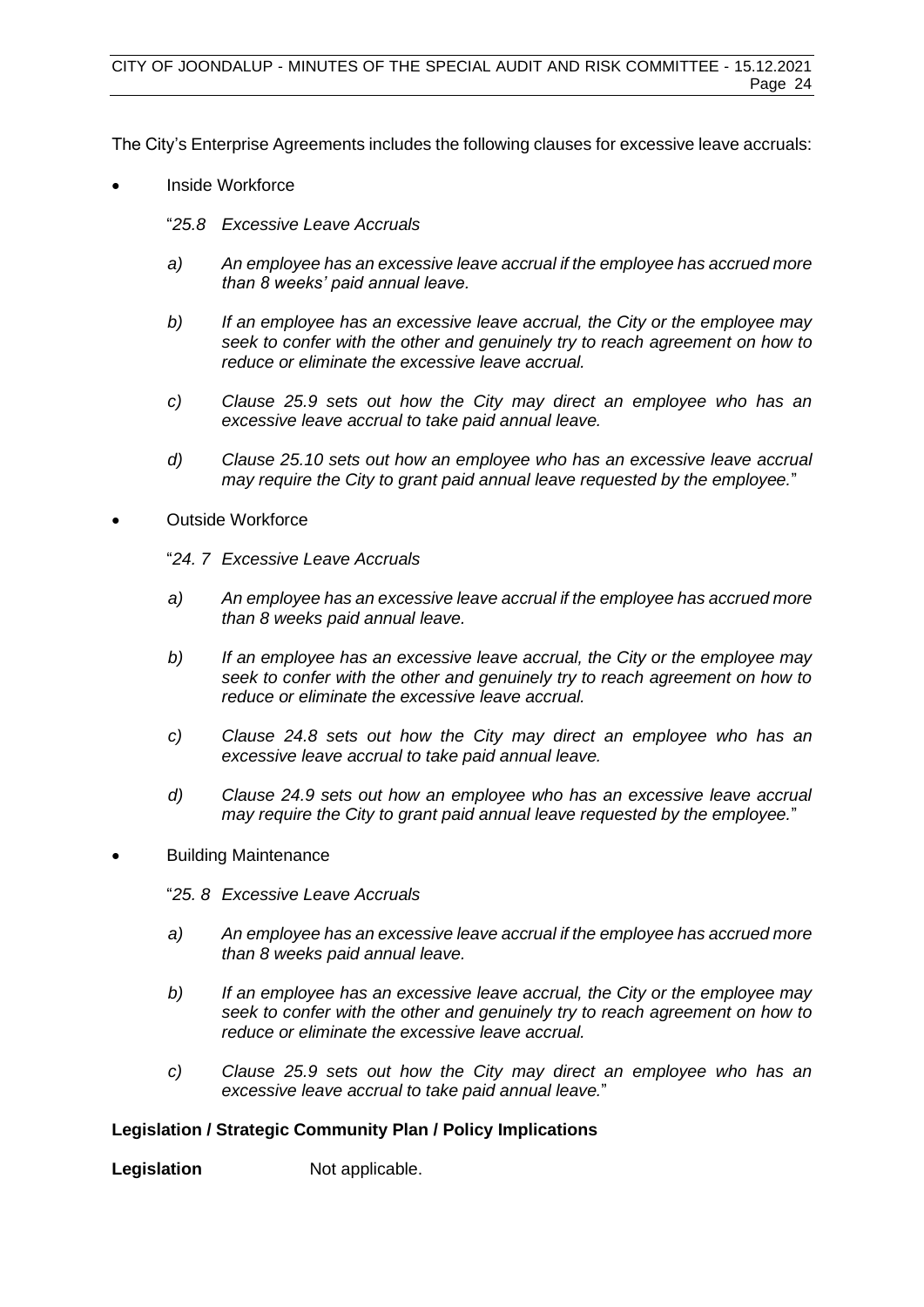The City's Enterprise Agreements includes the following clauses for excessive leave accruals:

- Inside Workforce
	- "*25.8 Excessive Leave Accruals*
	- *a) An employee has an excessive leave accrual if the employee has accrued more than 8 weeks' paid annual leave.*
	- *b) If an employee has an excessive leave accrual, the City or the employee may seek to confer with the other and genuinely try to reach agreement on how to reduce or eliminate the excessive leave accrual.*
	- *c) Clause 25.9 sets out how the City may direct an employee who has an excessive leave accrual to take paid annual leave.*
	- *d) Clause 25.10 sets out how an employee who has an excessive leave accrual may require the City to grant paid annual leave requested by the employee.*"
- Outside Workforce
	- "*24. 7 Excessive Leave Accruals*
	- *a) An employee has an excessive leave accrual if the employee has accrued more than 8 weeks paid annual leave.*
	- *b) If an employee has an excessive leave accrual, the City or the employee may seek to confer with the other and genuinely try to reach agreement on how to reduce or eliminate the excessive leave accrual.*
	- *c) Clause 24.8 sets out how the City may direct an employee who has an excessive leave accrual to take paid annual leave.*
	- *d) Clause 24.9 sets out how an employee who has an excessive leave accrual may require the City to grant paid annual leave requested by the employee.*"
- Building Maintenance
	- "*25. 8 Excessive Leave Accruals*
	- *a) An employee has an excessive leave accrual if the employee has accrued more than 8 weeks paid annual leave.*
	- *b) If an employee has an excessive leave accrual, the City or the employee may seek to confer with the other and genuinely try to reach agreement on how to reduce or eliminate the excessive leave accrual.*
	- *c) Clause 25.9 sets out how the City may direct an employee who has an excessive leave accrual to take paid annual leave.*"

# **Legislation / Strategic Community Plan / Policy Implications**

**Legislation** Not applicable.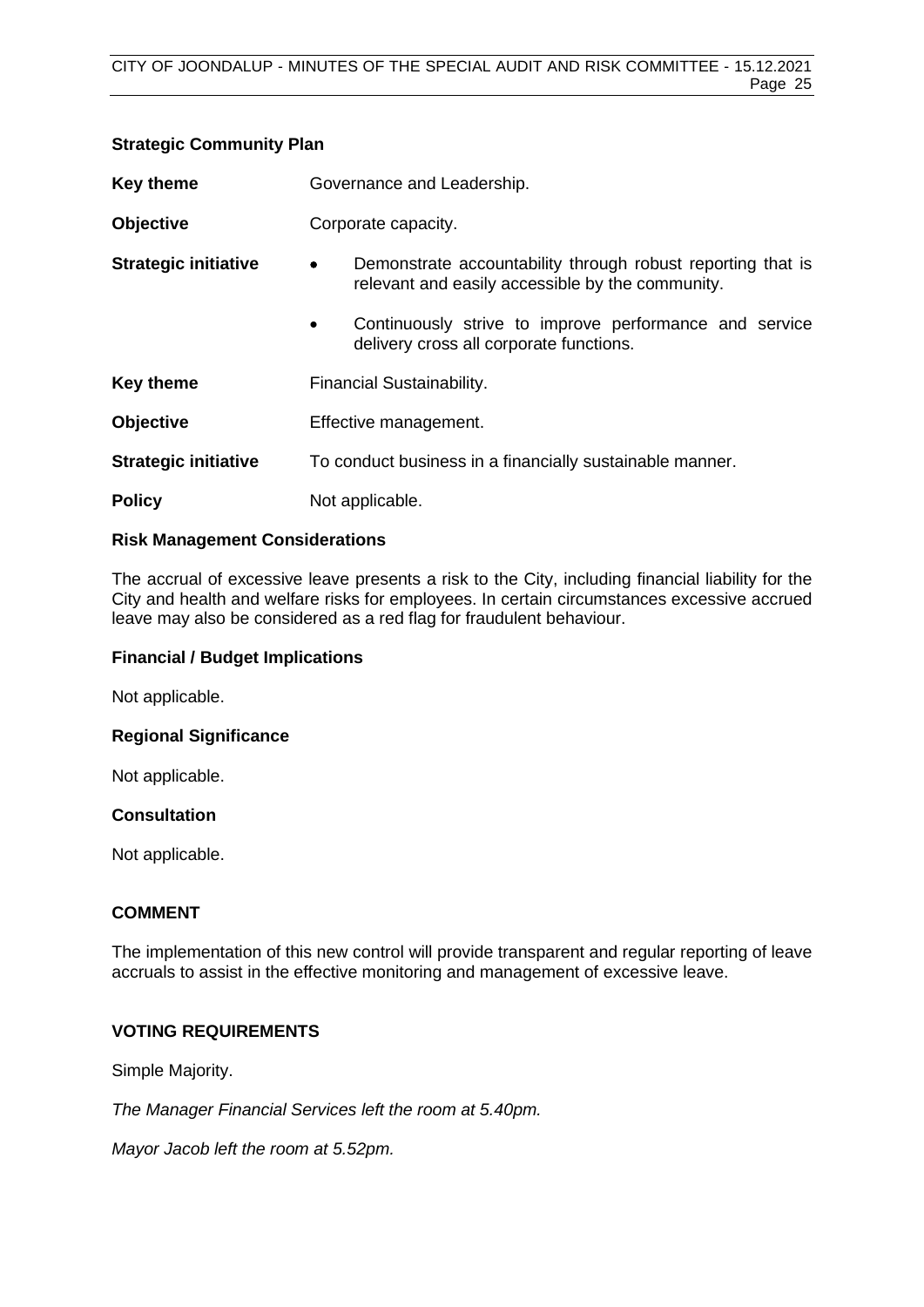| <b>Key theme</b>            | Governance and Leadership.                                                                                                   |  |
|-----------------------------|------------------------------------------------------------------------------------------------------------------------------|--|
| <b>Objective</b>            | Corporate capacity.                                                                                                          |  |
| <b>Strategic initiative</b> | Demonstrate accountability through robust reporting that is<br>$\bullet$<br>relevant and easily accessible by the community. |  |
|                             | Continuously strive to improve performance and service<br>$\bullet$<br>delivery cross all corporate functions.               |  |
| <b>Key theme</b>            | Financial Sustainability.                                                                                                    |  |
| <b>Objective</b>            | Effective management.                                                                                                        |  |
| <b>Strategic initiative</b> | To conduct business in a financially sustainable manner.                                                                     |  |
| <b>Policy</b>               | Not applicable.                                                                                                              |  |

# **Risk Management Considerations**

**Strategic Community Plan**

The accrual of excessive leave presents a risk to the City, including financial liability for the City and health and welfare risks for employees. In certain circumstances excessive accrued leave may also be considered as a red flag for fraudulent behaviour.

# **Financial / Budget Implications**

Not applicable.

# **Regional Significance**

Not applicable.

# **Consultation**

Not applicable.

# **COMMENT**

The implementation of this new control will provide transparent and regular reporting of leave accruals to assist in the effective monitoring and management of excessive leave.

# **VOTING REQUIREMENTS**

Simple Majority.

*The Manager Financial Services left the room at 5.40pm.*

*Mayor Jacob left the room at 5.52pm.*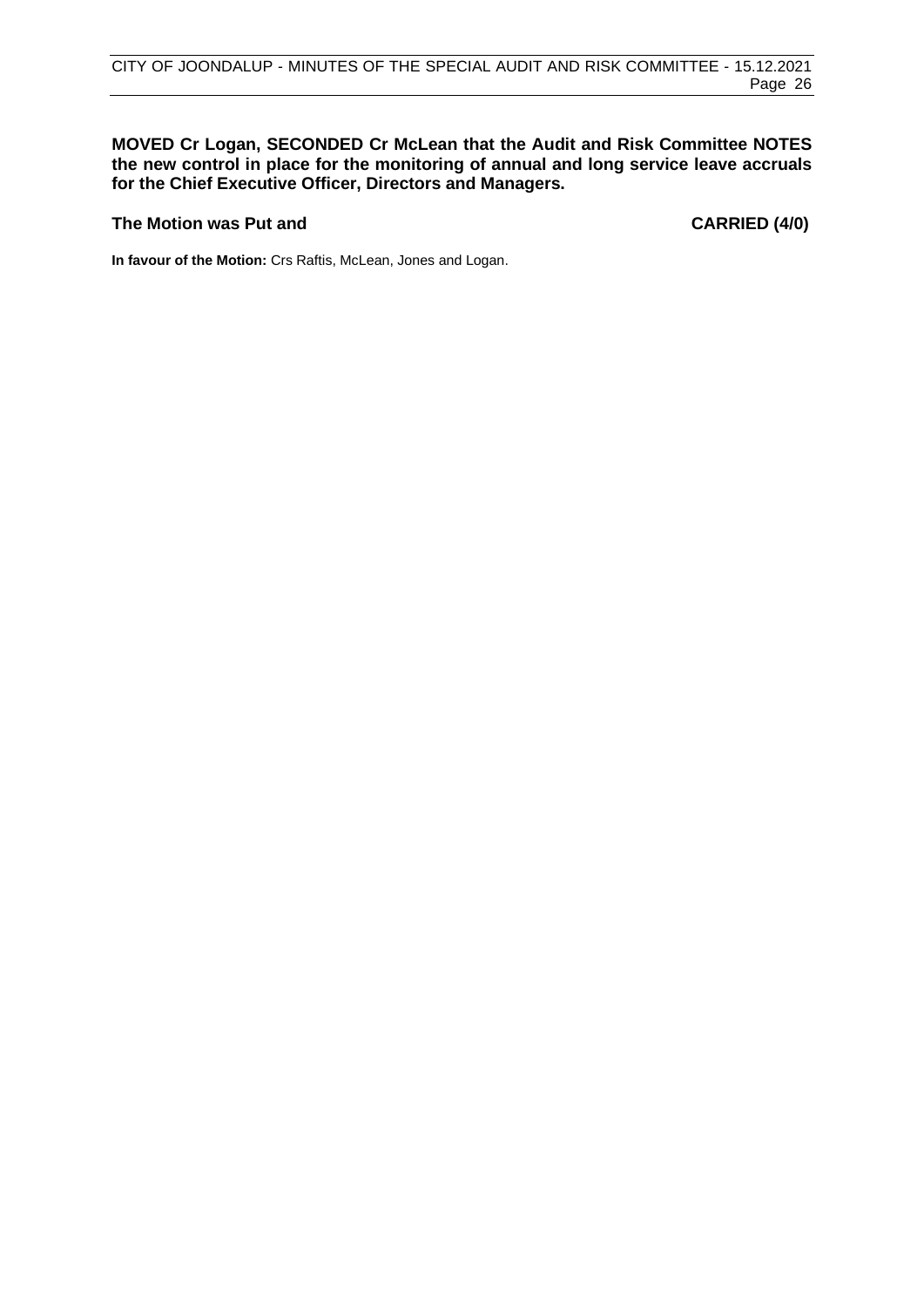# **MOVED Cr Logan, SECONDED Cr McLean that the Audit and Risk Committee NOTES the new control in place for the monitoring of annual and long service leave accruals for the Chief Executive Officer, Directors and Managers.**

# **The Motion was Put and CARRIED (4/0)**

**In favour of the Motion:** Crs Raftis, McLean, Jones and Logan.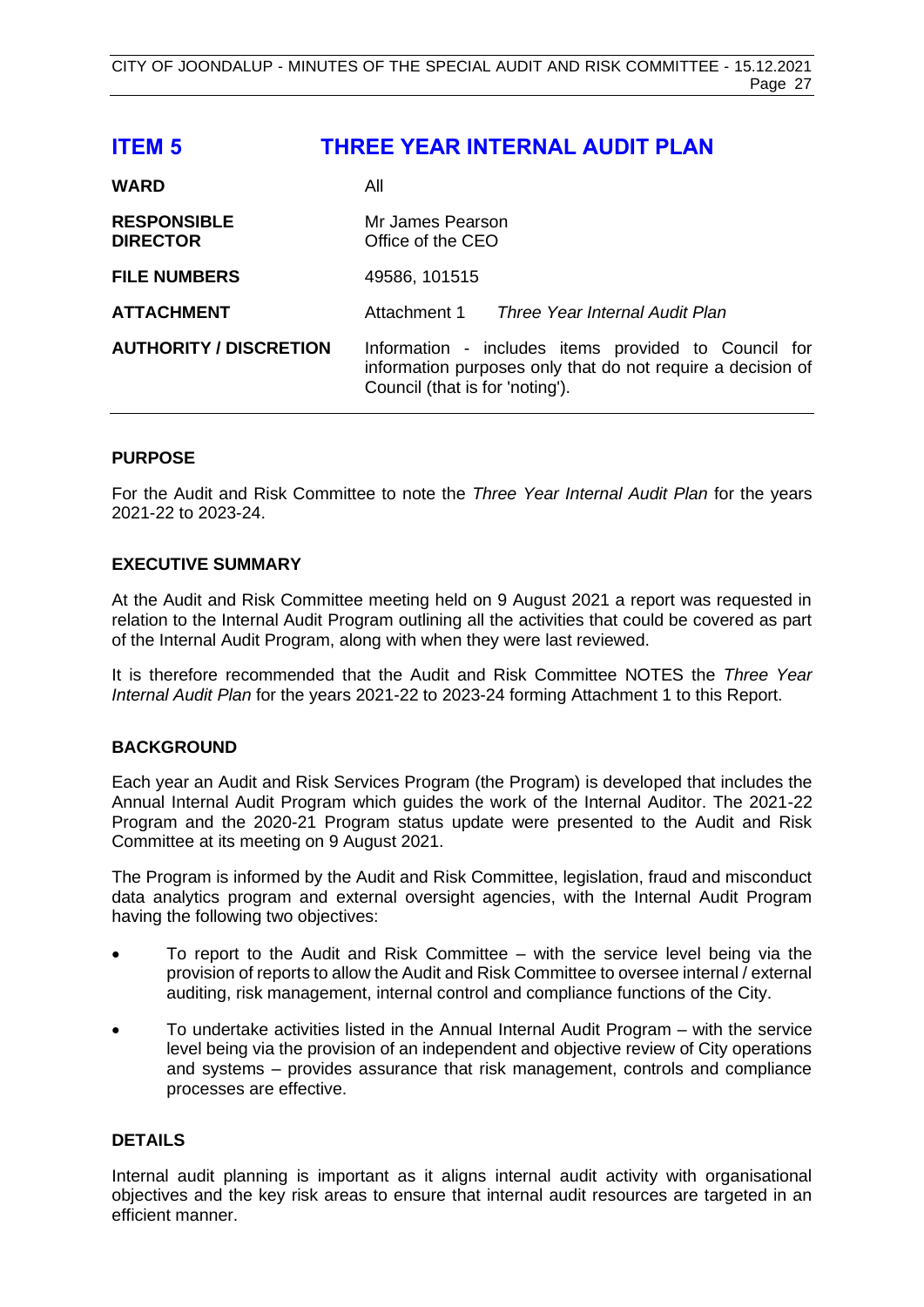# <span id="page-26-0"></span>**ITEM 5 THREE YEAR INTERNAL AUDIT PLAN**

| <b>WARD</b>                           | All                                                                                                                                                    |  |
|---------------------------------------|--------------------------------------------------------------------------------------------------------------------------------------------------------|--|
| <b>RESPONSIBLE</b><br><b>DIRECTOR</b> | Mr James Pearson<br>Office of the CEO                                                                                                                  |  |
| <b>FILE NUMBERS</b>                   | 49586, 101515                                                                                                                                          |  |
| <b>ATTACHMENT</b>                     | Attachment 1<br>Three Year Internal Audit Plan                                                                                                         |  |
| <b>AUTHORITY / DISCRETION</b>         | Information - includes items provided to Council for<br>information purposes only that do not require a decision of<br>Council (that is for 'noting'). |  |

# **PURPOSE**

For the Audit and Risk Committee to note the *Three Year Internal Audit Plan* for the years 2021-22 to 2023-24.

# **EXECUTIVE SUMMARY**

At the Audit and Risk Committee meeting held on 9 August 2021 a report was requested in relation to the Internal Audit Program outlining all the activities that could be covered as part of the Internal Audit Program, along with when they were last reviewed.

It is therefore recommended that the Audit and Risk Committee NOTES the *Three Year Internal Audit Plan* for the years 2021-22 to 2023-24 forming Attachment 1 to this Report.

# **BACKGROUND**

Each year an Audit and Risk Services Program (the Program) is developed that includes the Annual Internal Audit Program which guides the work of the Internal Auditor. The 2021-22 Program and the 2020-21 Program status update were presented to the Audit and Risk Committee at its meeting on 9 August 2021.

The Program is informed by the Audit and Risk Committee, legislation, fraud and misconduct data analytics program and external oversight agencies, with the Internal Audit Program having the following two objectives:

- To report to the Audit and Risk Committee with the service level being via the provision of reports to allow the Audit and Risk Committee to oversee internal / external auditing, risk management, internal control and compliance functions of the City.
- To undertake activities listed in the Annual Internal Audit Program with the service level being via the provision of an independent and objective review of City operations and systems – provides assurance that risk management, controls and compliance processes are effective.

# **DETAILS**

Internal audit planning is important as it aligns internal audit activity with organisational objectives and the key risk areas to ensure that internal audit resources are targeted in an efficient manner.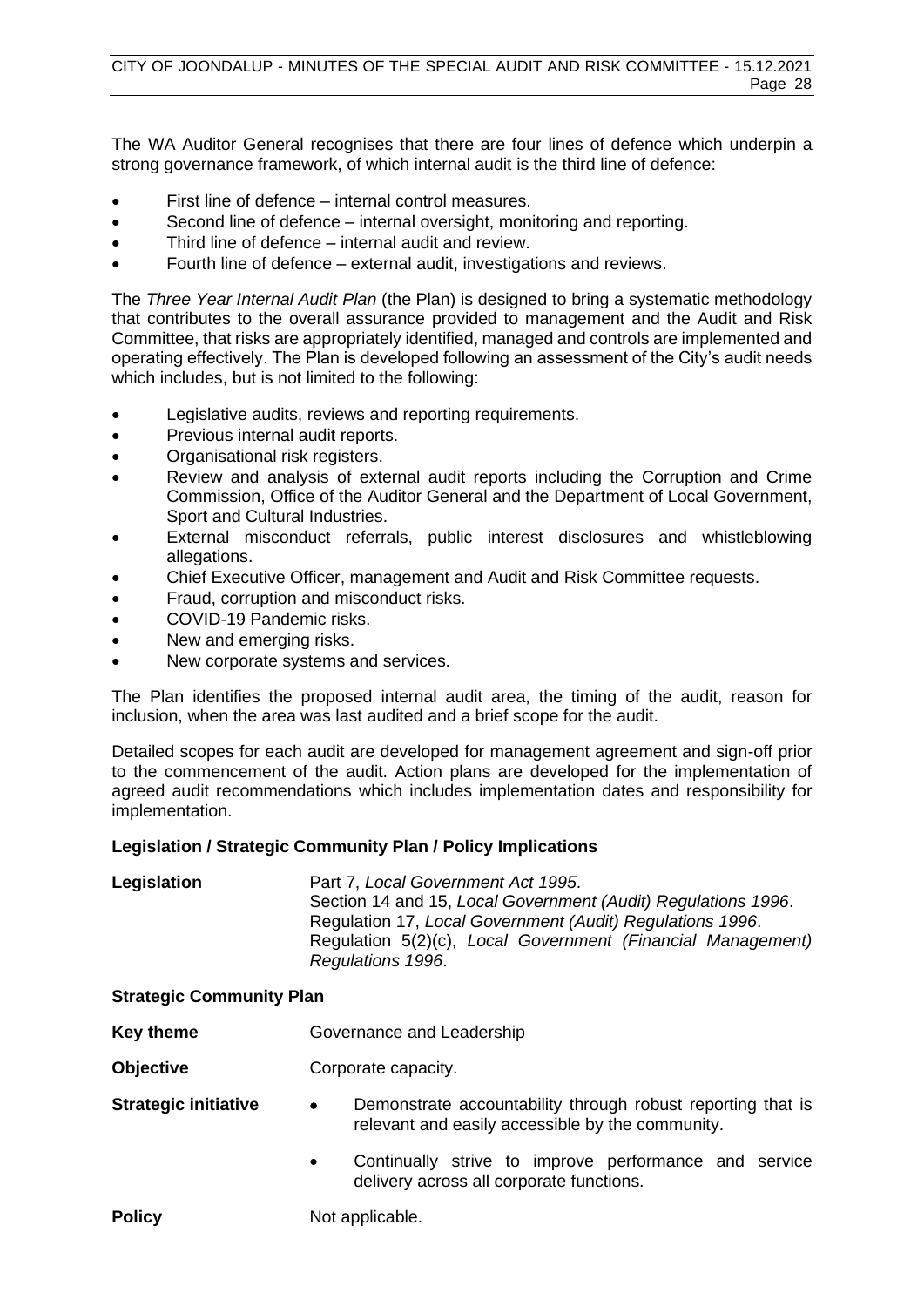The WA Auditor General recognises that there are four lines of defence which underpin a strong governance framework, of which internal audit is the third line of defence:

- First line of defence internal control measures.
- Second line of defence internal oversight, monitoring and reporting.
- Third line of defence internal audit and review.
- Fourth line of defence external audit, investigations and reviews.

The *Three Year Internal Audit Plan* (the Plan) is designed to bring a systematic methodology that contributes to the overall assurance provided to management and the Audit and Risk Committee, that risks are appropriately identified, managed and controls are implemented and operating effectively. The Plan is developed following an assessment of the City's audit needs which includes, but is not limited to the following:

- Legislative audits, reviews and reporting requirements.
- Previous internal audit reports.
- Organisational risk registers.
- Review and analysis of external audit reports including the Corruption and Crime Commission, Office of the Auditor General and the Department of Local Government, Sport and Cultural Industries.
- External misconduct referrals, public interest disclosures and whistleblowing allegations.
- Chief Executive Officer, management and Audit and Risk Committee requests.
- Fraud, corruption and misconduct risks.
- COVID-19 Pandemic risks.
- New and emerging risks.
- New corporate systems and services.

The Plan identifies the proposed internal audit area, the timing of the audit, reason for inclusion, when the area was last audited and a brief scope for the audit.

Detailed scopes for each audit are developed for management agreement and sign-off prior to the commencement of the audit. Action plans are developed for the implementation of agreed audit recommendations which includes implementation dates and responsibility for implementation.

# **Legislation / Strategic Community Plan / Policy Implications**

**Legislation** Part 7, *Local Government Act 1995*. Section 14 and 15, *Local Government (Audit) Regulations 1996*. Regulation 17, *Local Government (Audit) Regulations 1996*. Regulation 5(2)(c), *Local Government (Financial Management) Regulations 1996*.

# **Strategic Community Plan**

- **Key theme Governance and Leadership**
- **Objective Corporate capacity.**
- **Strategic initiative •** Demonstrate accountability through robust reporting that is relevant and easily accessible by the community.
	- Continually strive to improve performance and service delivery across all corporate functions.

**Policy** Not applicable.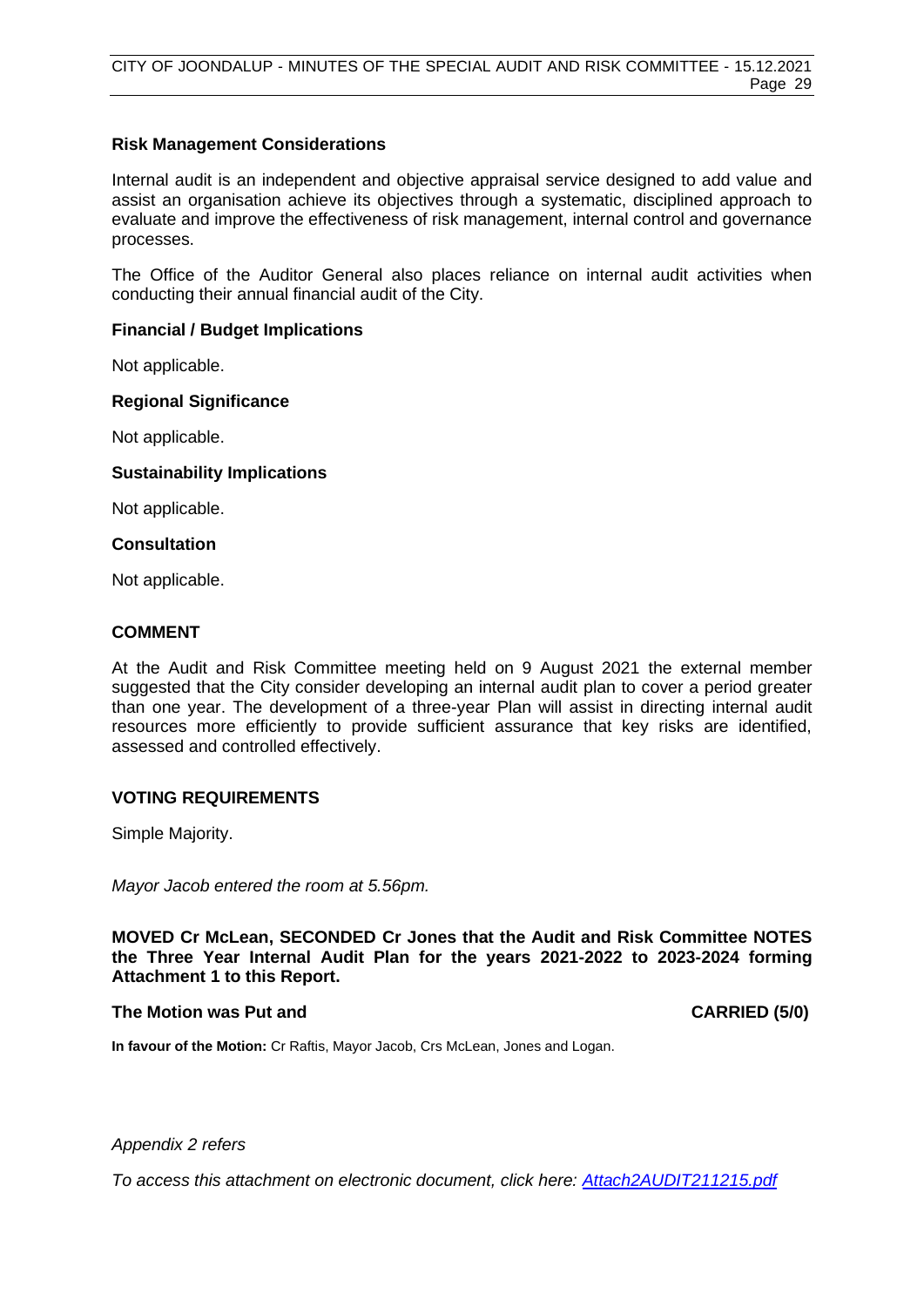# **Risk Management Considerations**

Internal audit is an independent and objective appraisal service designed to add value and assist an organisation achieve its objectives through a systematic, disciplined approach to evaluate and improve the effectiveness of risk management, internal control and governance processes.

The Office of the Auditor General also places reliance on internal audit activities when conducting their annual financial audit of the City.

# **Financial / Budget Implications**

Not applicable.

# **Regional Significance**

Not applicable.

# **Sustainability Implications**

Not applicable.

# **Consultation**

Not applicable.

# **COMMENT**

At the Audit and Risk Committee meeting held on 9 August 2021 the external member suggested that the City consider developing an internal audit plan to cover a period greater than one year. The development of a three-year Plan will assist in directing internal audit resources more efficiently to provide sufficient assurance that key risks are identified, assessed and controlled effectively.

# **VOTING REQUIREMENTS**

Simple Majority.

*Mayor Jacob entered the room at 5.56pm.*

**MOVED Cr McLean, SECONDED Cr Jones that the Audit and Risk Committee NOTES the Three Year Internal Audit Plan for the years 2021-2022 to 2023-2024 forming Attachment 1 to this Report.** 

# **The Motion was Put and CARRIED (5/0)**

**In favour of the Motion:** Cr Raftis, Mayor Jacob, Crs McLean, Jones and Logan.

# *Appendix 2 refers*

*To access this attachment on electronic document, click here: [Attach2AUDIT211215.pdf](http://www.joondalup.wa.gov.au/files/committees/AURI/2021/Attach2AUDIT211215.pdf)*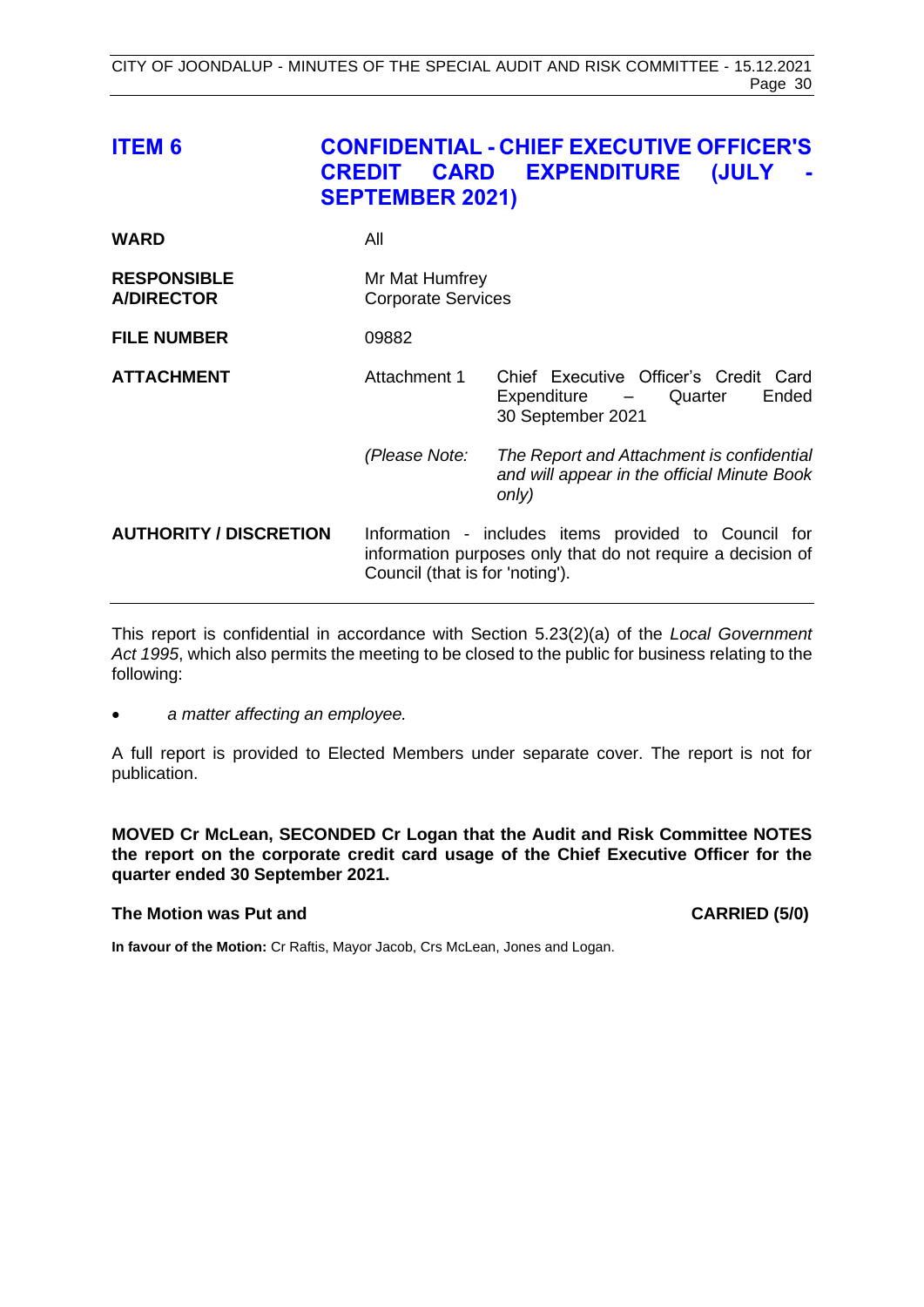<span id="page-29-0"></span>

| <b>ITEM 6</b>                           | <b>CARD</b><br><b>CREDIT</b><br><b>SEPTEMBER 2021)</b> | <b>CONFIDENTIAL - CHIEF EXECUTIVE OFFICER'S</b><br><b>EXPENDITURE</b><br>(JULY                                      |
|-----------------------------------------|--------------------------------------------------------|---------------------------------------------------------------------------------------------------------------------|
| <b>WARD</b>                             | All                                                    |                                                                                                                     |
| <b>RESPONSIBLE</b><br><b>A/DIRECTOR</b> | Mr Mat Humfrey<br><b>Corporate Services</b>            |                                                                                                                     |
| <b>FILE NUMBER</b>                      | 09882                                                  |                                                                                                                     |
| <b>ATTACHMENT</b>                       | Attachment 1                                           | Chief Executive Officer's Credit Card<br>Expenditure -<br>Quarter<br>Ended<br>30 September 2021                     |
|                                         | (Please Note:                                          | The Report and Attachment is confidential<br>and will appear in the official Minute Book<br>only)                   |
| <b>AUTHORITY / DISCRETION</b>           | Council (that is for 'noting').                        | Information - includes items provided to Council for<br>information purposes only that do not require a decision of |

This report is confidential in accordance with Section 5.23(2)(a) of the *Local Government Act 1995*, which also permits the meeting to be closed to the public for business relating to the following:

• *a matter affecting an employee.*

A full report is provided to Elected Members under separate cover. The report is not for publication.

**MOVED Cr McLean, SECONDED Cr Logan that the Audit and Risk Committee NOTES the report on the corporate credit card usage of the Chief Executive Officer for the quarter ended 30 September 2021.**

# **The Motion was Put and CARRIED (5/0)**

**In favour of the Motion:** Cr Raftis, Mayor Jacob, Crs McLean, Jones and Logan.